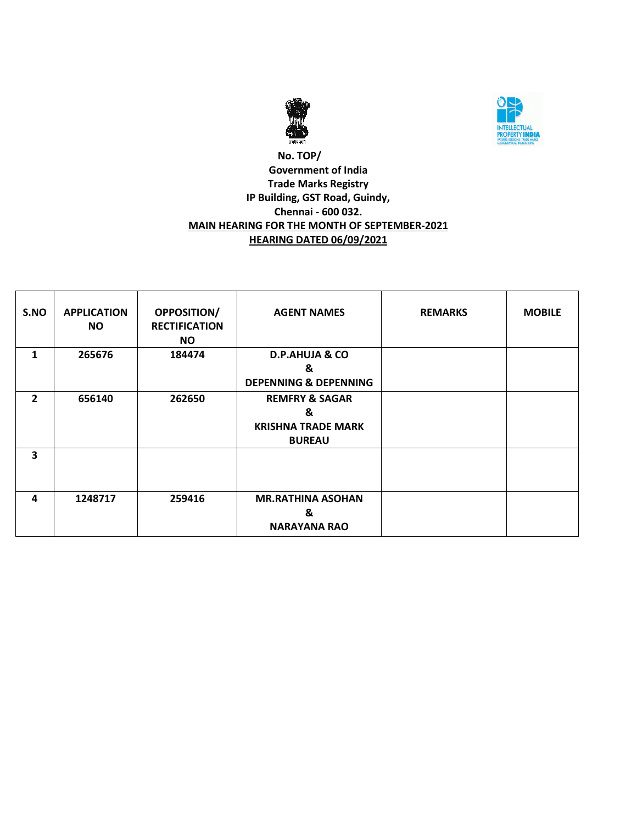



# **No. TOP/ Government of India Trade Marks Registry IP Building, GST Road, Guindy, Chennai - 600 032. MAIN HEARING FOR THE MONTH OF SEPTEMBER-2021 HEARING DATED 06/09/2021**

| S.NO           | <b>APPLICATION</b><br>NO. | <b>OPPOSITION/</b><br><b>RECTIFICATION</b><br><b>NO</b> | <b>AGENT NAMES</b>                                                           | <b>REMARKS</b> | <b>MOBILE</b> |
|----------------|---------------------------|---------------------------------------------------------|------------------------------------------------------------------------------|----------------|---------------|
| 1              | 265676                    | 184474                                                  | <b>D.P.AHUJA &amp; CO</b><br>&                                               |                |               |
|                |                           |                                                         | <b>DEPENNING &amp; DEPENNING</b>                                             |                |               |
| $\overline{2}$ | 656140                    | 262650                                                  | <b>REMFRY &amp; SAGAR</b><br>&<br><b>KRISHNA TRADE MARK</b><br><b>BUREAU</b> |                |               |
| 3              |                           |                                                         |                                                                              |                |               |
| 4              | 1248717                   | 259416                                                  | <b>MR.RATHINA ASOHAN</b><br>&<br><b>NARAYANA RAO</b>                         |                |               |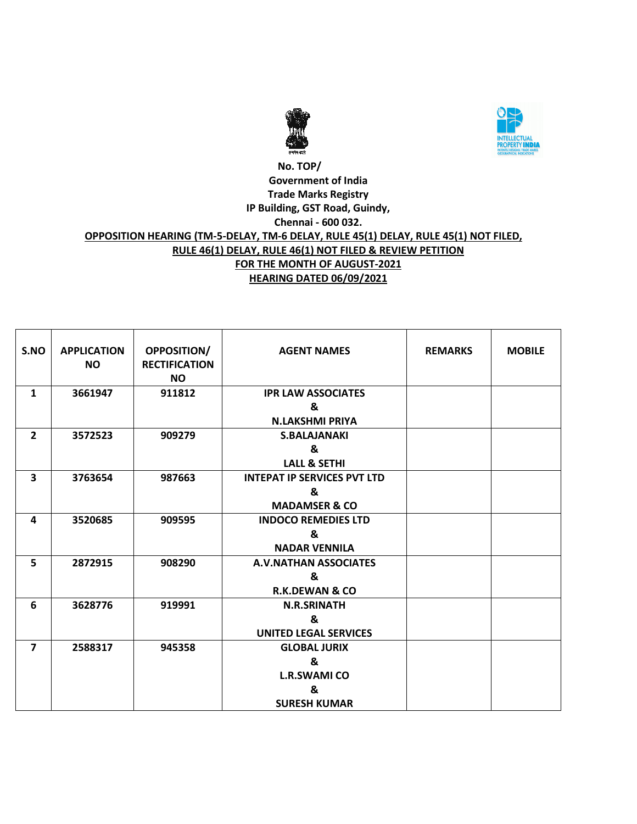



## **No. TOP/ Government of India Trade Marks Registry IP Building, GST Road, Guindy, Chennai - 600 032. OPPOSITION HEARING (TM-5-DELAY, TM-6 DELAY, RULE 45(1) DELAY, RULE 45(1) NOT FILED, RULE 46(1) DELAY, RULE 46(1) NOT FILED & REVIEW PETITION FOR THE MONTH OF AUGUST-2021 HEARING DATED 06/09/2021**

| S.NO                    | <b>APPLICATION</b><br><b>NO</b> | <b>OPPOSITION/</b><br><b>RECTIFICATION</b><br><b>NO</b> | <b>AGENT NAMES</b>                 | <b>REMARKS</b> | <b>MOBILE</b> |
|-------------------------|---------------------------------|---------------------------------------------------------|------------------------------------|----------------|---------------|
| $\mathbf{1}$            | 3661947                         | 911812                                                  | <b>IPR LAW ASSOCIATES</b>          |                |               |
|                         |                                 |                                                         | &                                  |                |               |
|                         |                                 |                                                         | <b>N.LAKSHMI PRIYA</b>             |                |               |
| $\overline{2}$          | 3572523                         | 909279                                                  | <b>S.BALAJANAKI</b>                |                |               |
|                         |                                 |                                                         | &                                  |                |               |
|                         |                                 |                                                         | <b>LALL &amp; SETHI</b>            |                |               |
| $\overline{\mathbf{3}}$ | 3763654                         | 987663                                                  | <b>INTEPAT IP SERVICES PVT LTD</b> |                |               |
|                         |                                 |                                                         | &                                  |                |               |
|                         |                                 |                                                         | <b>MADAMSER &amp; CO</b>           |                |               |
| 4                       | 3520685                         | 909595                                                  | <b>INDOCO REMEDIES LTD</b>         |                |               |
|                         |                                 |                                                         | &                                  |                |               |
|                         |                                 |                                                         | <b>NADAR VENNILA</b>               |                |               |
| 5                       | 2872915                         | 908290                                                  | A.V.NATHAN ASSOCIATES              |                |               |
|                         |                                 |                                                         | &                                  |                |               |
|                         |                                 |                                                         | <b>R.K.DEWAN &amp; CO</b>          |                |               |
| 6                       | 3628776                         | 919991                                                  | <b>N.R.SRINATH</b>                 |                |               |
|                         |                                 |                                                         | &                                  |                |               |
|                         |                                 |                                                         | <b>UNITED LEGAL SERVICES</b>       |                |               |
| $\overline{7}$          | 2588317                         | 945358                                                  | <b>GLOBAL JURIX</b>                |                |               |
|                         |                                 |                                                         | &                                  |                |               |
|                         |                                 |                                                         | <b>L.R.SWAMI CO</b>                |                |               |
|                         |                                 |                                                         | &                                  |                |               |
|                         |                                 |                                                         | <b>SURESH KUMAR</b>                |                |               |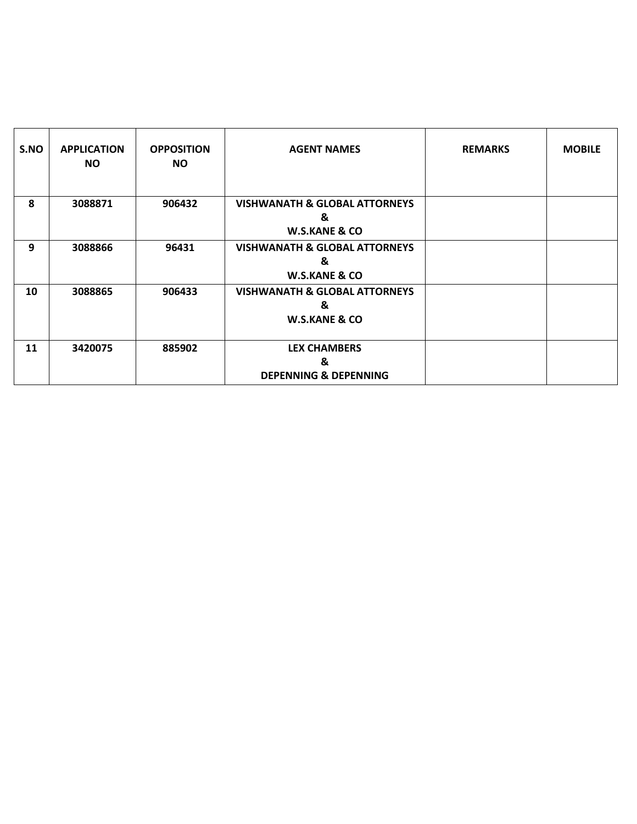| S.NO | <b>APPLICATION</b><br>NO. | <b>OPPOSITION</b><br>NO. | <b>AGENT NAMES</b>                                                        | <b>REMARKS</b> | <b>MOBILE</b> |
|------|---------------------------|--------------------------|---------------------------------------------------------------------------|----------------|---------------|
| 8    | 3088871                   | 906432                   | <b>VISHWANATH &amp; GLOBAL ATTORNEYS</b><br>&<br><b>W.S.KANE &amp; CO</b> |                |               |
| 9    | 3088866                   | 96431                    | <b>VISHWANATH &amp; GLOBAL ATTORNEYS</b><br>&<br><b>W.S.KANE &amp; CO</b> |                |               |
| 10   | 3088865                   | 906433                   | <b>VISHWANATH &amp; GLOBAL ATTORNEYS</b><br>&<br><b>W.S.KANE &amp; CO</b> |                |               |
| 11   | 3420075                   | 885902                   | <b>LEX CHAMBERS</b><br>&<br><b>DEPENNING &amp; DEPENNING</b>              |                |               |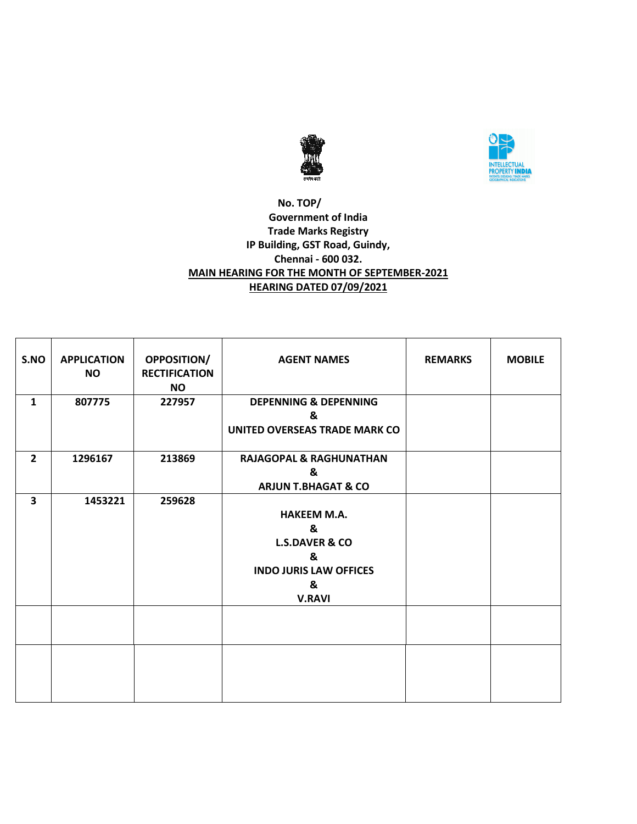



# **No. TOP/ Government of India Trade Marks Registry IP Building, GST Road, Guindy, Chennai - 600 032. MAIN HEARING FOR THE MONTH OF SEPTEMBER-2021 HEARING DATED 07/09/2021**

| S.NO           | <b>APPLICATION</b><br><b>NO</b> | <b>OPPOSITION/</b><br><b>RECTIFICATION</b><br><b>NO</b> | <b>AGENT NAMES</b>                                                                                               | <b>REMARKS</b> | <b>MOBILE</b> |
|----------------|---------------------------------|---------------------------------------------------------|------------------------------------------------------------------------------------------------------------------|----------------|---------------|
| $\mathbf{1}$   | 807775                          | 227957                                                  | <b>DEPENNING &amp; DEPENNING</b><br>&<br>UNITED OVERSEAS TRADE MARK CO                                           |                |               |
| $\overline{2}$ | 1296167                         | 213869                                                  | <b>RAJAGOPAL &amp; RAGHUNATHAN</b><br>&<br><b>ARJUN T.BHAGAT &amp; CO</b>                                        |                |               |
| 3              | 1453221                         | 259628                                                  | <b>HAKEEM M.A.</b><br>&<br><b>L.S.DAVER &amp; CO</b><br>&<br><b>INDO JURIS LAW OFFICES</b><br>&<br><b>V.RAVI</b> |                |               |
|                |                                 |                                                         |                                                                                                                  |                |               |
|                |                                 |                                                         |                                                                                                                  |                |               |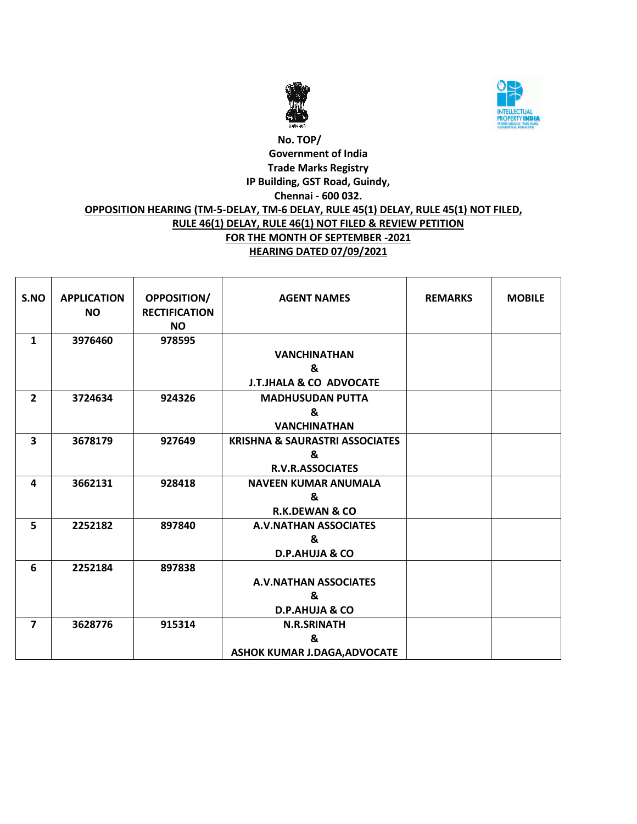



# **No. TOP/ Government of India Trade Marks Registry IP Building, GST Road, Guindy, Chennai - 600 032. OPPOSITION HEARING (TM-5-DELAY, TM-6 DELAY, RULE 45(1) DELAY, RULE 45(1) NOT FILED, RULE 46(1) DELAY, RULE 46(1) NOT FILED & REVIEW PETITION FOR THE MONTH OF SEPTEMBER -2021 HEARING DATED 07/09/2021**

| S.NO                    | <b>APPLICATION</b><br><b>NO</b> | <b>OPPOSITION/</b><br><b>RECTIFICATION</b><br><b>NO</b> | <b>AGENT NAMES</b>                        | <b>REMARKS</b> | <b>MOBILE</b> |
|-------------------------|---------------------------------|---------------------------------------------------------|-------------------------------------------|----------------|---------------|
| $\mathbf{1}$            | 3976460                         | 978595                                                  | <b>VANCHINATHAN</b>                       |                |               |
|                         |                                 |                                                         | &                                         |                |               |
|                         |                                 |                                                         | <b>J.T.JHALA &amp; CO ADVOCATE</b>        |                |               |
| $\overline{2}$          | 3724634                         | 924326                                                  | <b>MADHUSUDAN PUTTA</b>                   |                |               |
|                         |                                 |                                                         | &                                         |                |               |
|                         |                                 |                                                         | <b>VANCHINATHAN</b>                       |                |               |
| $\overline{\mathbf{3}}$ | 3678179                         | 927649                                                  | <b>KRISHNA &amp; SAURASTRI ASSOCIATES</b> |                |               |
|                         |                                 |                                                         | &                                         |                |               |
|                         |                                 |                                                         | <b>R.V.R.ASSOCIATES</b>                   |                |               |
| 4                       | 3662131                         | 928418                                                  | <b>NAVEEN KUMAR ANUMALA</b>               |                |               |
|                         |                                 |                                                         | &                                         |                |               |
|                         |                                 |                                                         | <b>R.K.DEWAN &amp; CO</b>                 |                |               |
| 5                       | 2252182                         | 897840                                                  | <b>A.V.NATHAN ASSOCIATES</b>              |                |               |
|                         |                                 |                                                         | &                                         |                |               |
|                         |                                 |                                                         | <b>D.P.AHUJA &amp; CO</b>                 |                |               |
| 6                       | 2252184                         | 897838                                                  |                                           |                |               |
|                         |                                 |                                                         | <b>A.V.NATHAN ASSOCIATES</b>              |                |               |
|                         |                                 |                                                         | &                                         |                |               |
|                         |                                 |                                                         | D.P.AHUJA & CO                            |                |               |
| $\overline{\mathbf{z}}$ | 3628776                         | 915314                                                  | <b>N.R.SRINATH</b>                        |                |               |
|                         |                                 |                                                         | &                                         |                |               |
|                         |                                 |                                                         | <b>ASHOK KUMAR J.DAGA, ADVOCATE</b>       |                |               |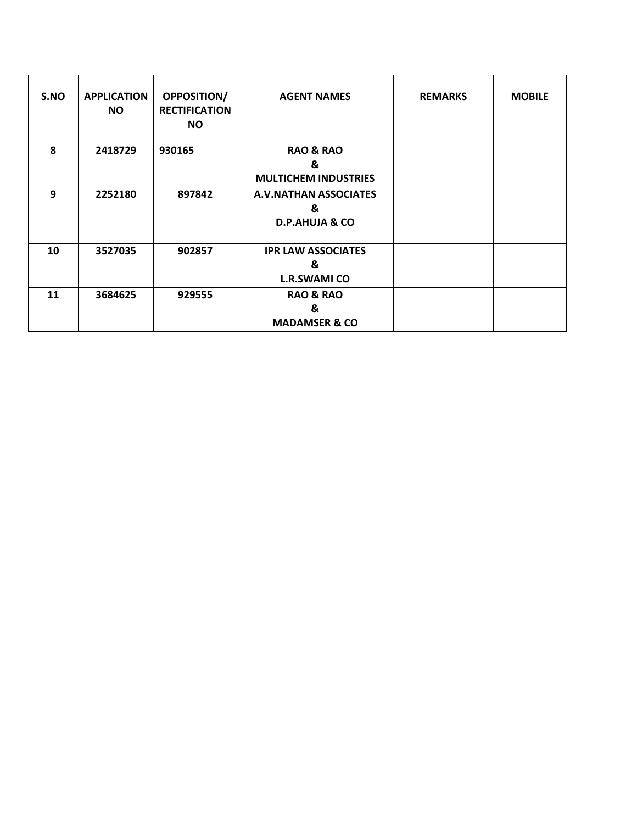| S.NO | <b>APPLICATION</b><br>NO. | <b>OPPOSITION/</b><br><b>RECTIFICATION</b><br><b>NO</b> | <b>AGENT NAMES</b>                                             | <b>REMARKS</b> | <b>MOBILE</b> |
|------|---------------------------|---------------------------------------------------------|----------------------------------------------------------------|----------------|---------------|
| 8    | 2418729                   | 930165                                                  | <b>RAO &amp; RAO</b><br>&<br><b>MULTICHEM INDUSTRIES</b>       |                |               |
| 9    | 2252180                   | 897842                                                  | <b>A.V.NATHAN ASSOCIATES</b><br>&<br><b>D.P.AHUJA &amp; CO</b> |                |               |
| 10   | 3527035                   | 902857                                                  | <b>IPR LAW ASSOCIATES</b><br>&<br><b>L.R.SWAMI CO</b>          |                |               |
| 11   | 3684625                   | 929555                                                  | <b>RAO &amp; RAO</b><br>&<br><b>MADAMSER &amp; CO</b>          |                |               |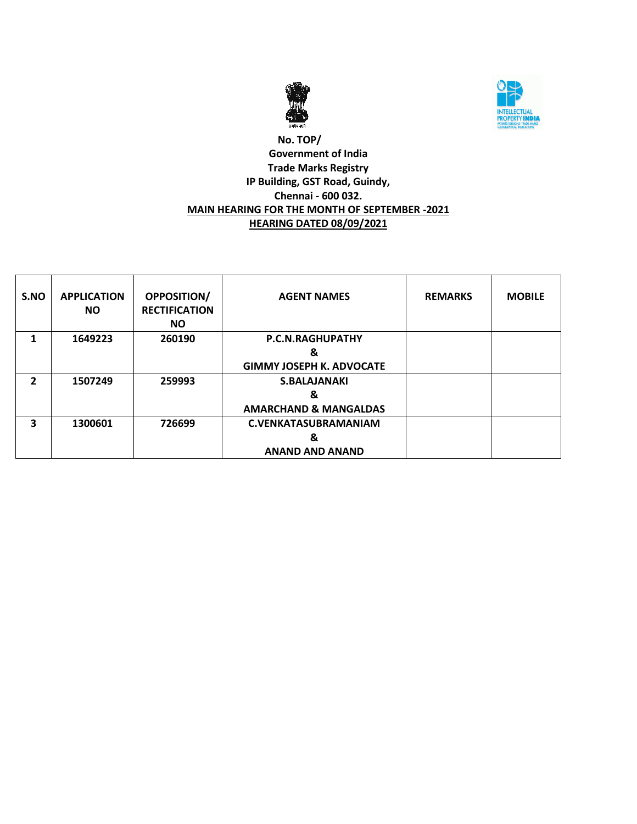



# **No. TOP/ Government of India Trade Marks Registry IP Building, GST Road, Guindy, Chennai - 600 032. MAIN HEARING FOR THE MONTH OF SEPTEMBER -2021 HEARING DATED 08/09/2021**

| S.NO           | <b>APPLICATION</b><br><b>NO</b> | <b>OPPOSITION/</b><br><b>RECTIFICATION</b><br><b>NO</b> | <b>AGENT NAMES</b>               | <b>REMARKS</b> | <b>MOBILE</b> |
|----------------|---------------------------------|---------------------------------------------------------|----------------------------------|----------------|---------------|
| 1              | 1649223                         | 260190                                                  | <b>P.C.N.RAGHUPATHY</b>          |                |               |
|                |                                 |                                                         | &                                |                |               |
|                |                                 |                                                         | <b>GIMMY JOSEPH K. ADVOCATE</b>  |                |               |
| $\overline{2}$ | 1507249                         | 259993                                                  | <b>S.BALAJANAKI</b>              |                |               |
|                |                                 |                                                         | &                                |                |               |
|                |                                 |                                                         | <b>AMARCHAND &amp; MANGALDAS</b> |                |               |
| 3              | 1300601                         | 726699                                                  | <b>C.VENKATASUBRAMANIAM</b>      |                |               |
|                |                                 |                                                         | &                                |                |               |
|                |                                 |                                                         | <b>ANAND AND ANAND</b>           |                |               |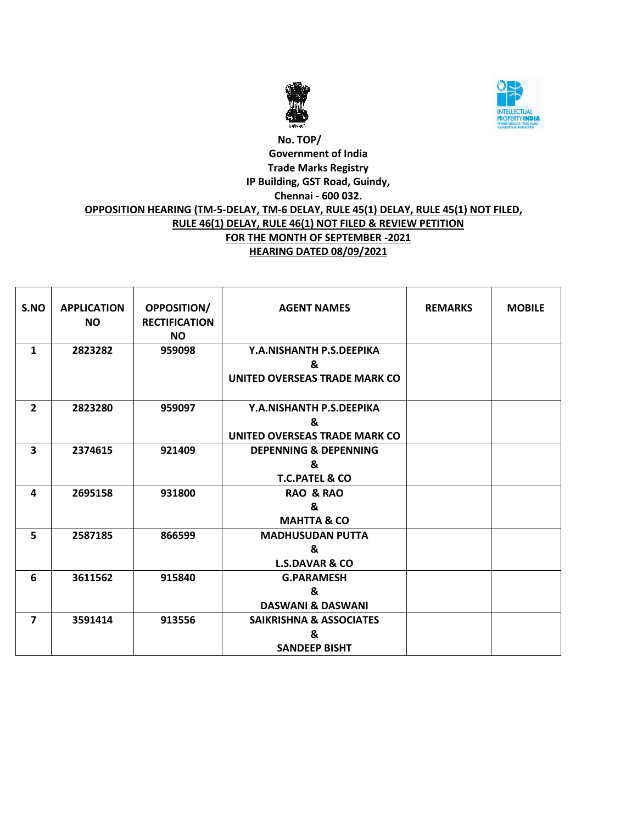



# **No. TOP/ Government of India Trade Marks Registry IP Building, GST Road, Guindy, Chennai - 600 032. OPPOSITION HEARING (TM-5-DELAY, TM-6 DELAY, RULE 45(1) DELAY, RULE 45(1) NOT FILED, RULE 46(1) DELAY, RULE 46(1) NOT FILED & REVIEW PETITION FOR THE MONTH OF SEPTEMBER -2021 HEARING DATED 08/09/2021**

| S.NO           | <b>APPLICATION</b><br>NO. | <b>OPPOSITION/</b><br><b>RECTIFICATION</b><br><b>NO</b> | <b>AGENT NAMES</b>                 | <b>REMARKS</b> | <b>MOBILE</b> |
|----------------|---------------------------|---------------------------------------------------------|------------------------------------|----------------|---------------|
| $\mathbf{1}$   | 2823282                   | 959098                                                  | Y.A.NISHANTH P.S.DEEPIKA           |                |               |
|                |                           |                                                         | &                                  |                |               |
|                |                           |                                                         | UNITED OVERSEAS TRADE MARK CO      |                |               |
| $\overline{2}$ | 2823280                   | 959097                                                  | Y.A.NISHANTH P.S.DEEPIKA           |                |               |
|                |                           |                                                         | &                                  |                |               |
|                |                           |                                                         | UNITED OVERSEAS TRADE MARK CO      |                |               |
| 3              | 2374615                   | 921409                                                  | <b>DEPENNING &amp; DEPENNING</b>   |                |               |
|                |                           |                                                         | &                                  |                |               |
|                |                           |                                                         | <b>T.C.PATEL &amp; CO</b>          |                |               |
| 4              | 2695158                   | 931800                                                  | <b>RAO &amp; RAO</b>               |                |               |
|                |                           |                                                         | &                                  |                |               |
|                |                           |                                                         | <b>MAHTTA &amp; CO</b>             |                |               |
| 5              | 2587185                   | 866599                                                  | <b>MADHUSUDAN PUTTA</b>            |                |               |
|                |                           |                                                         | &                                  |                |               |
|                |                           |                                                         | <b>L.S.DAVAR &amp; CO</b>          |                |               |
| 6              | 3611562                   | 915840                                                  | <b>G.PARAMESH</b>                  |                |               |
|                |                           |                                                         | &                                  |                |               |
|                |                           |                                                         | <b>DASWANI &amp; DASWANI</b>       |                |               |
| $\overline{7}$ | 3591414                   | 913556                                                  | <b>SAIKRISHNA &amp; ASSOCIATES</b> |                |               |
|                |                           |                                                         | &                                  |                |               |
|                |                           |                                                         | <b>SANDEEP BISHT</b>               |                |               |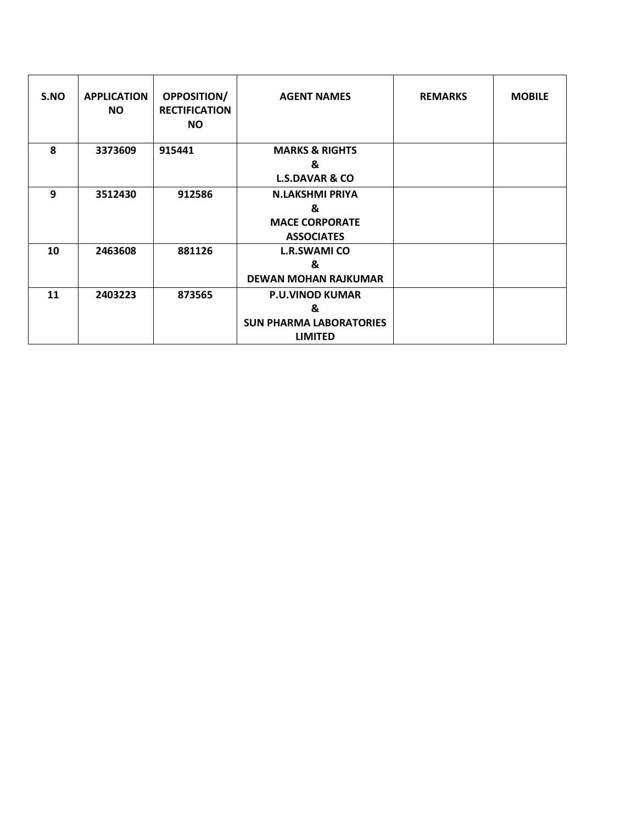| S.NO | <b>APPLICATION</b><br><b>NO</b> | <b>OPPOSITION/</b><br><b>RECTIFICATION</b><br>NO. | <b>AGENT NAMES</b>             | <b>REMARKS</b> | <b>MOBILE</b> |
|------|---------------------------------|---------------------------------------------------|--------------------------------|----------------|---------------|
| 8    | 3373609                         | 915441                                            | <b>MARKS &amp; RIGHTS</b>      |                |               |
|      |                                 |                                                   | &                              |                |               |
|      |                                 |                                                   | <b>L.S.DAVAR &amp; CO</b>      |                |               |
| 9    | 3512430                         | 912586                                            | <b>N.LAKSHMI PRIYA</b>         |                |               |
|      |                                 |                                                   | &                              |                |               |
|      |                                 |                                                   | <b>MACE CORPORATE</b>          |                |               |
|      |                                 |                                                   | <b>ASSOCIATES</b>              |                |               |
| 10   | 2463608                         | 881126                                            | <b>L.R.SWAMI CO</b>            |                |               |
|      |                                 |                                                   | &                              |                |               |
|      |                                 |                                                   | <b>DEWAN MOHAN RAJKUMAR</b>    |                |               |
| 11   | 2403223                         | 873565                                            | <b>P.U.VINOD KUMAR</b>         |                |               |
|      |                                 |                                                   | &                              |                |               |
|      |                                 |                                                   | <b>SUN PHARMA LABORATORIES</b> |                |               |
|      |                                 |                                                   | <b>LIMITED</b>                 |                |               |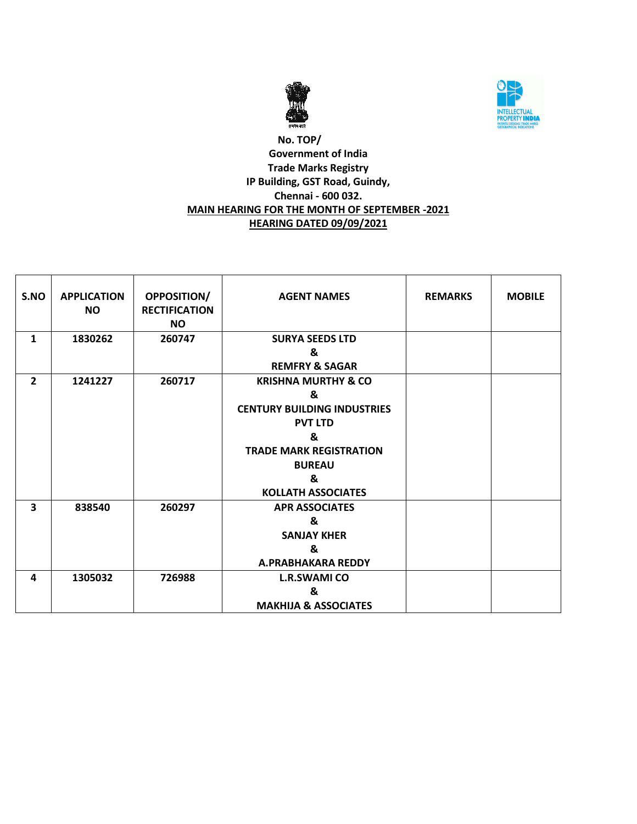



# **No. TOP/ Government of India Trade Marks Registry IP Building, GST Road, Guindy, Chennai - 600 032. MAIN HEARING FOR THE MONTH OF SEPTEMBER -2021 HEARING DATED 09/09/2021**

| S.NO           | <b>APPLICATION</b><br><b>NO</b> | OPPOSITION/<br><b>RECTIFICATION</b><br><b>NO</b> | <b>AGENT NAMES</b>                 | <b>REMARKS</b> | <b>MOBILE</b> |
|----------------|---------------------------------|--------------------------------------------------|------------------------------------|----------------|---------------|
| $\mathbf{1}$   | 1830262                         | 260747                                           | <b>SURYA SEEDS LTD</b>             |                |               |
|                |                                 |                                                  | &                                  |                |               |
|                |                                 |                                                  | <b>REMFRY &amp; SAGAR</b>          |                |               |
| $\overline{2}$ | 1241227                         | 260717                                           | <b>KRISHNA MURTHY &amp; CO</b>     |                |               |
|                |                                 |                                                  | &                                  |                |               |
|                |                                 |                                                  | <b>CENTURY BUILDING INDUSTRIES</b> |                |               |
|                |                                 |                                                  | <b>PVT LTD</b>                     |                |               |
|                |                                 |                                                  | &                                  |                |               |
|                |                                 |                                                  | <b>TRADE MARK REGISTRATION</b>     |                |               |
|                |                                 |                                                  | <b>BUREAU</b>                      |                |               |
|                |                                 |                                                  | &                                  |                |               |
|                |                                 |                                                  | <b>KOLLATH ASSOCIATES</b>          |                |               |
| 3              | 838540                          | 260297                                           | <b>APR ASSOCIATES</b>              |                |               |
|                |                                 |                                                  | &                                  |                |               |
|                |                                 |                                                  | <b>SANJAY KHER</b>                 |                |               |
|                |                                 |                                                  | &                                  |                |               |
|                |                                 |                                                  | A.PRABHAKARA REDDY                 |                |               |
| 4              | 1305032                         | 726988                                           | <b>L.R.SWAMI CO</b>                |                |               |
|                |                                 |                                                  | &                                  |                |               |
|                |                                 |                                                  | <b>MAKHIJA &amp; ASSOCIATES</b>    |                |               |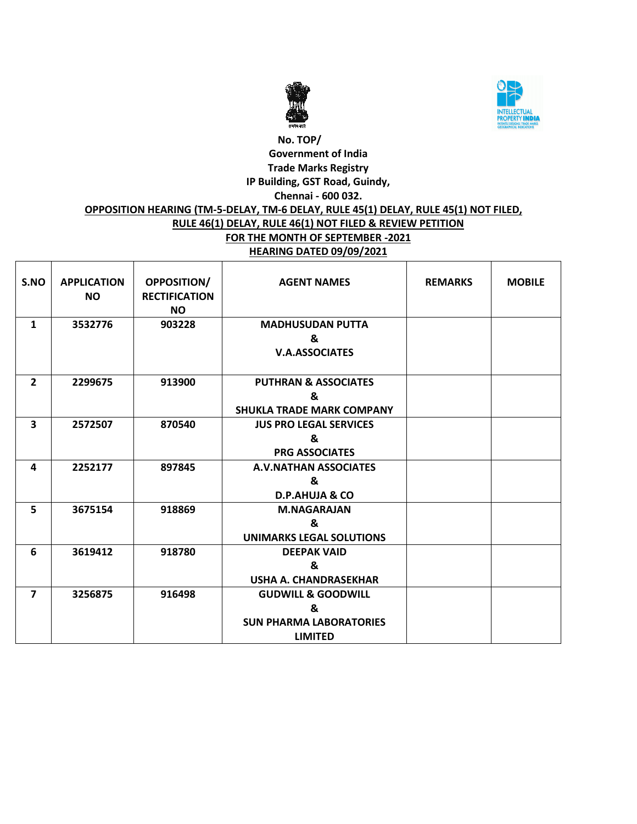



# **No. TOP/ Government of India Trade Marks Registry IP Building, GST Road, Guindy, Chennai - 600 032. OPPOSITION HEARING (TM-5-DELAY, TM-6 DELAY, RULE 45(1) DELAY, RULE 45(1) NOT FILED, RULE 46(1) DELAY, RULE 46(1) NOT FILED & REVIEW PETITION FOR THE MONTH OF SEPTEMBER -2021 HEARING DATED 09/09/2021**

| S.NO           | <b>APPLICATION</b><br><b>NO</b> | <b>OPPOSITION/</b><br><b>RECTIFICATION</b><br><b>NO</b> | <b>AGENT NAMES</b>                                                                     | <b>REMARKS</b> | <b>MOBILE</b> |
|----------------|---------------------------------|---------------------------------------------------------|----------------------------------------------------------------------------------------|----------------|---------------|
| $\mathbf{1}$   | 3532776                         | 903228                                                  | <b>MADHUSUDAN PUTTA</b><br>&<br><b>V.A.ASSOCIATES</b>                                  |                |               |
| $\overline{2}$ | 2299675                         | 913900                                                  | <b>PUTHRAN &amp; ASSOCIATES</b><br>&<br><b>SHUKLA TRADE MARK COMPANY</b>               |                |               |
| 3              | 2572507                         | 870540                                                  | <b>JUS PRO LEGAL SERVICES</b><br>&<br><b>PRG ASSOCIATES</b>                            |                |               |
| 4              | 2252177                         | 897845                                                  | <b>A.V.NATHAN ASSOCIATES</b><br>&<br><b>D.P.AHUJA &amp; CO</b>                         |                |               |
| 5              | 3675154                         | 918869                                                  | <b>M.NAGARAJAN</b><br>&<br><b>UNIMARKS LEGAL SOLUTIONS</b>                             |                |               |
| 6              | 3619412                         | 918780                                                  | <b>DEEPAK VAID</b><br>&<br><b>USHA A. CHANDRASEKHAR</b>                                |                |               |
| $\overline{7}$ | 3256875                         | 916498                                                  | <b>GUDWILL &amp; GOODWILL</b><br>&<br><b>SUN PHARMA LABORATORIES</b><br><b>LIMITED</b> |                |               |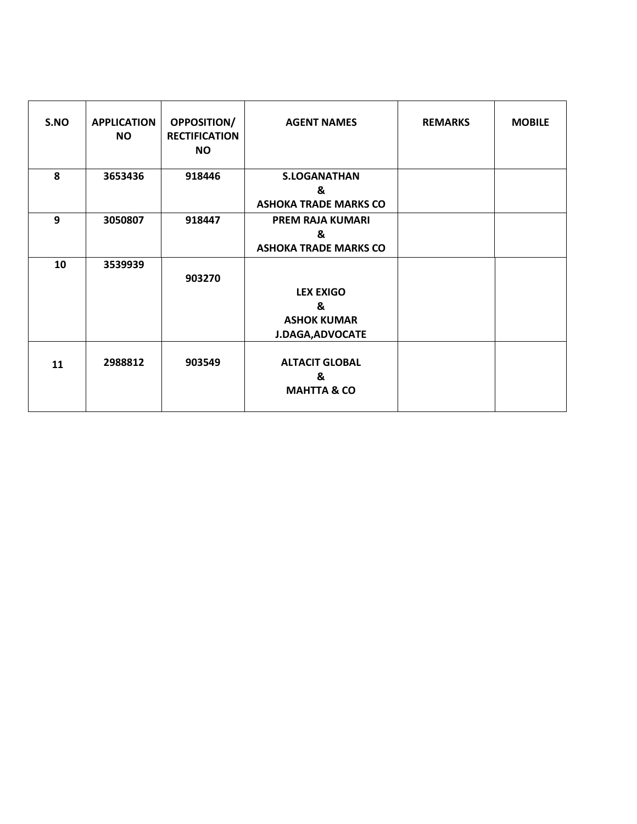| S.NO | <b>APPLICATION</b><br><b>NO</b> | <b>OPPOSITION/</b><br><b>RECTIFICATION</b><br><b>NO</b> | <b>AGENT NAMES</b>                                                     | <b>REMARKS</b> | <b>MOBILE</b> |
|------|---------------------------------|---------------------------------------------------------|------------------------------------------------------------------------|----------------|---------------|
| 8    | 3653436                         | 918446                                                  | <b>S.LOGANATHAN</b><br>&<br><b>ASHOKA TRADE MARKS CO</b>               |                |               |
| 9    | 3050807                         | 918447                                                  | <b>PREM RAJA KUMARI</b><br>&<br><b>ASHOKA TRADE MARKS CO</b>           |                |               |
| 10   | 3539939                         | 903270                                                  | <b>LEX EXIGO</b><br>&<br><b>ASHOK KUMAR</b><br><b>J.DAGA, ADVOCATE</b> |                |               |
| 11   | 2988812                         | 903549                                                  | <b>ALTACIT GLOBAL</b><br>&<br><b>MAHTTA &amp; CO</b>                   |                |               |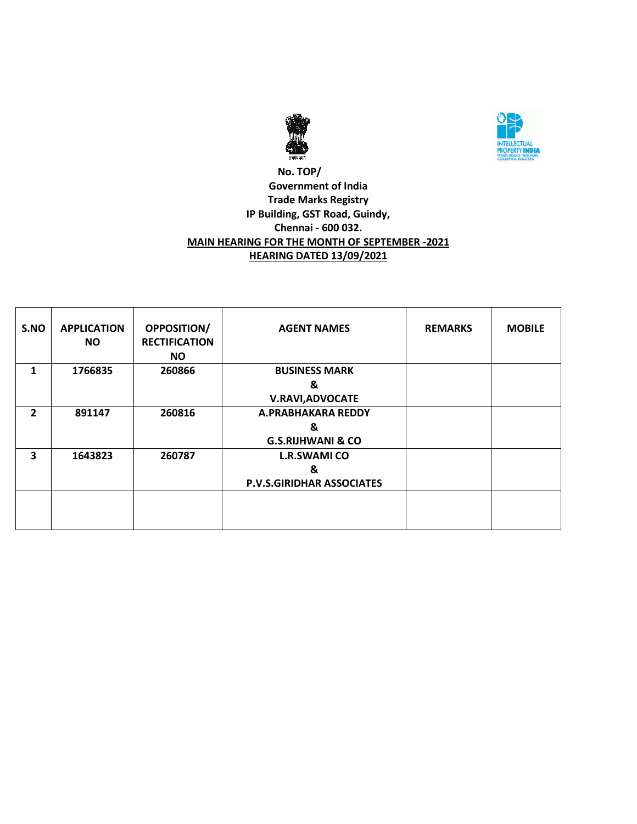



# **No. TOP/ Government of India Trade Marks Registry IP Building, GST Road, Guindy, Chennai - 600 032. MAIN HEARING FOR THE MONTH OF SEPTEMBER -2021 HEARING DATED 13/09/2021**

| S.NO | <b>APPLICATION</b><br><b>NO</b> | <b>OPPOSITION/</b><br><b>RECTIFICATION</b><br><b>NO</b> | <b>AGENT NAMES</b>               | <b>REMARKS</b> | <b>MOBILE</b> |
|------|---------------------------------|---------------------------------------------------------|----------------------------------|----------------|---------------|
| 1    | 1766835                         | 260866                                                  | <b>BUSINESS MARK</b>             |                |               |
|      |                                 |                                                         | &                                |                |               |
|      |                                 |                                                         | <b>V.RAVI, ADVOCATE</b>          |                |               |
| 2    | 891147                          | 260816                                                  | A.PRABHAKARA REDDY               |                |               |
|      |                                 |                                                         | &                                |                |               |
|      |                                 |                                                         | <b>G.S.RIJHWANI &amp; CO</b>     |                |               |
| 3    | 1643823                         | 260787                                                  | <b>L.R.SWAMI CO</b>              |                |               |
|      |                                 |                                                         | &                                |                |               |
|      |                                 |                                                         | <b>P.V.S.GIRIDHAR ASSOCIATES</b> |                |               |
|      |                                 |                                                         |                                  |                |               |
|      |                                 |                                                         |                                  |                |               |
|      |                                 |                                                         |                                  |                |               |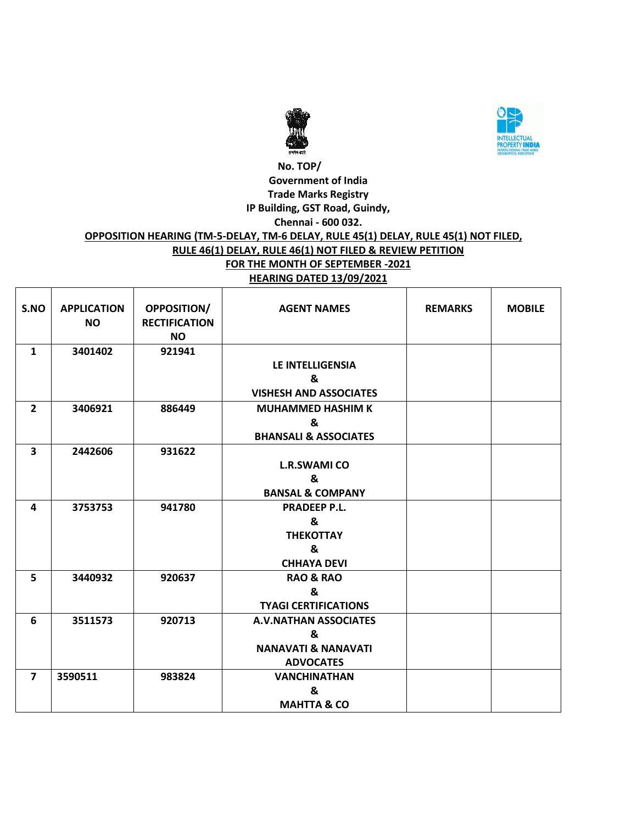



## **No. TOP/ Government of India Trade Marks Registry IP Building, GST Road, Guindy, Chennai - 600 032. OPPOSITION HEARING (TM-5-DELAY, TM-6 DELAY, RULE 45(1) DELAY, RULE 45(1) NOT FILED, RULE 46(1) DELAY, RULE 46(1) NOT FILED & REVIEW PETITION FOR THE MONTH OF SEPTEMBER -2021 HEARING DATED 13/09/2021**

| S.NO                    | <b>APPLICATION</b><br><b>NO</b> | OPPOSITION/<br><b>RECTIFICATION</b><br><b>NO</b> | <b>AGENT NAMES</b>               | <b>REMARKS</b> | <b>MOBILE</b> |
|-------------------------|---------------------------------|--------------------------------------------------|----------------------------------|----------------|---------------|
| $\mathbf{1}$            | 3401402                         | 921941                                           |                                  |                |               |
|                         |                                 |                                                  | LE INTELLIGENSIA                 |                |               |
|                         |                                 |                                                  | &                                |                |               |
|                         |                                 |                                                  | <b>VISHESH AND ASSOCIATES</b>    |                |               |
| $\overline{2}$          | 3406921                         | 886449                                           | <b>MUHAMMED HASHIM K</b>         |                |               |
|                         |                                 |                                                  | &                                |                |               |
|                         |                                 |                                                  | <b>BHANSALI &amp; ASSOCIATES</b> |                |               |
| $\overline{\mathbf{3}}$ | 2442606                         | 931622                                           |                                  |                |               |
|                         |                                 |                                                  | <b>L.R.SWAMI CO</b>              |                |               |
|                         |                                 |                                                  | &                                |                |               |
|                         |                                 |                                                  | <b>BANSAL &amp; COMPANY</b>      |                |               |
| 4                       | 3753753                         | 941780                                           | <b>PRADEEP P.L.</b>              |                |               |
|                         |                                 |                                                  | &                                |                |               |
|                         |                                 |                                                  | <b>THEKOTTAY</b>                 |                |               |
|                         |                                 |                                                  | &                                |                |               |
|                         |                                 |                                                  | <b>CHHAYA DEVI</b>               |                |               |
| 5                       | 3440932                         | 920637                                           | <b>RAO &amp; RAO</b>             |                |               |
|                         |                                 |                                                  | &                                |                |               |
|                         |                                 |                                                  | <b>TYAGI CERTIFICATIONS</b>      |                |               |
| 6                       | 3511573                         | 920713                                           | <b>A.V.NATHAN ASSOCIATES</b>     |                |               |
|                         |                                 |                                                  | &                                |                |               |
|                         |                                 |                                                  | <b>NANAVATI &amp; NANAVATI</b>   |                |               |
|                         |                                 |                                                  | <b>ADVOCATES</b>                 |                |               |
| $\overline{\mathbf{z}}$ | 3590511                         | 983824                                           | <b>VANCHINATHAN</b>              |                |               |
|                         |                                 |                                                  | &                                |                |               |
|                         |                                 |                                                  | <b>MAHTTA &amp; CO</b>           |                |               |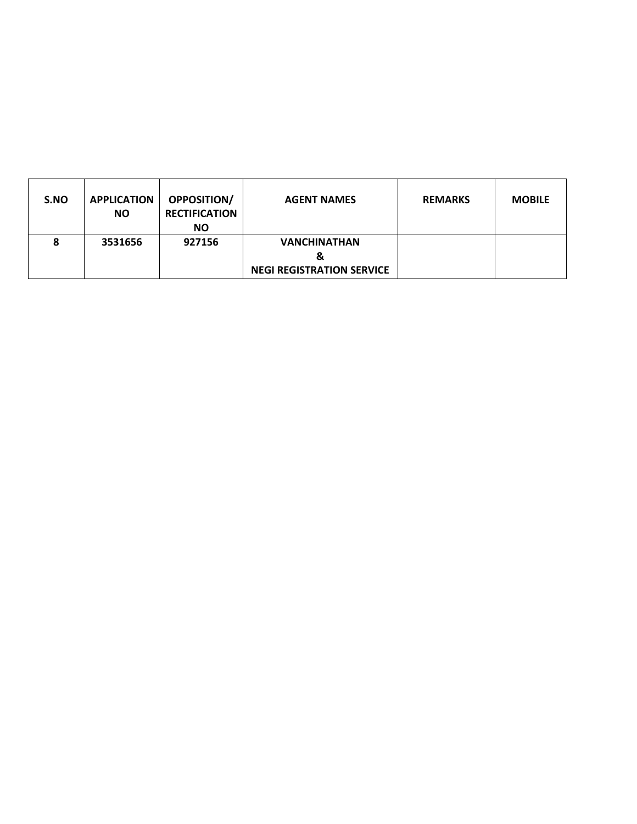| S.NO | <b>APPLICATION</b><br><b>NO</b> | <b>OPPOSITION/</b><br><b>RECTIFICATION</b><br><b>NO</b> | <b>AGENT NAMES</b>               | <b>REMARKS</b> | <b>MOBILE</b> |
|------|---------------------------------|---------------------------------------------------------|----------------------------------|----------------|---------------|
| 8    | 3531656                         | 927156                                                  | <b>VANCHINATHAN</b>              |                |               |
|      |                                 |                                                         | &                                |                |               |
|      |                                 |                                                         | <b>NEGI REGISTRATION SERVICE</b> |                |               |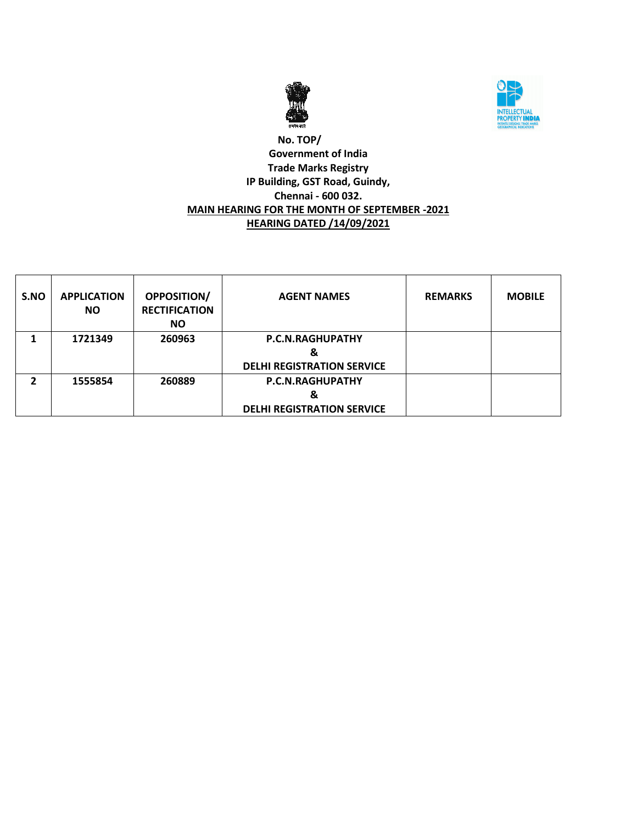



# **No. TOP/ Government of India Trade Marks Registry IP Building, GST Road, Guindy, Chennai - 600 032. MAIN HEARING FOR THE MONTH OF SEPTEMBER -2021 HEARING DATED /14/09/2021**

| S.NO | <b>APPLICATION</b><br><b>NO</b> | <b>OPPOSITION/</b><br><b>RECTIFICATION</b><br><b>NO</b> | <b>AGENT NAMES</b>                | <b>REMARKS</b> | <b>MOBILE</b> |
|------|---------------------------------|---------------------------------------------------------|-----------------------------------|----------------|---------------|
|      | 1721349                         | 260963                                                  | P.C.N.RAGHUPATHY                  |                |               |
|      |                                 |                                                         | &                                 |                |               |
|      |                                 |                                                         | <b>DELHI REGISTRATION SERVICE</b> |                |               |
| 2    | 1555854                         | 260889                                                  | P.C.N.RAGHUPATHY                  |                |               |
|      |                                 |                                                         | &                                 |                |               |
|      |                                 |                                                         | <b>DELHI REGISTRATION SERVICE</b> |                |               |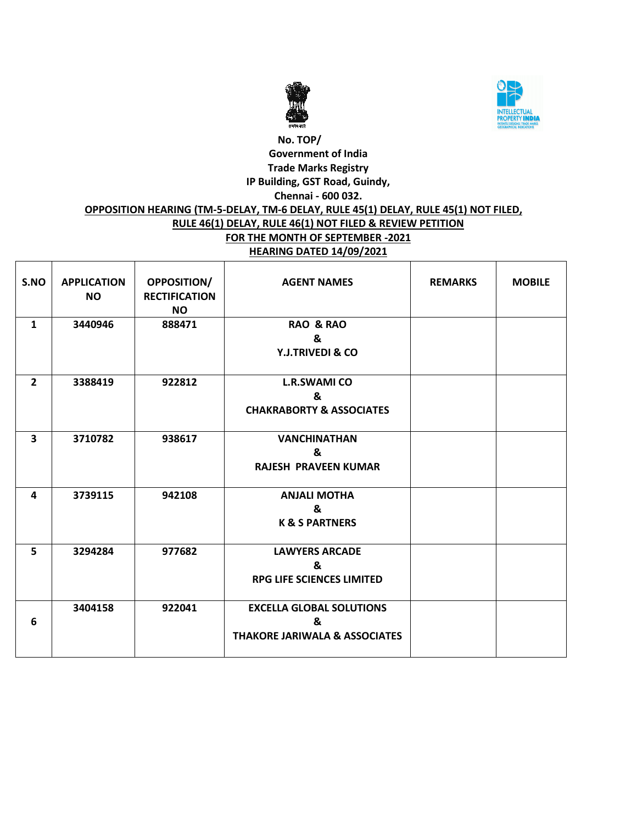



# **No. TOP/ Government of India Trade Marks Registry IP Building, GST Road, Guindy, Chennai - 600 032. OPPOSITION HEARING (TM-5-DELAY, TM-6 DELAY, RULE 45(1) DELAY, RULE 45(1) NOT FILED, RULE 46(1) DELAY, RULE 46(1) NOT FILED & REVIEW PETITION FOR THE MONTH OF SEPTEMBER -2021 HEARING DATED 14/09/2021**

| S.NO           | <b>APPLICATION</b><br><b>NO</b> | <b>OPPOSITION/</b><br><b>RECTIFICATION</b><br><b>NO</b> | <b>AGENT NAMES</b>                                                               | <b>REMARKS</b> | <b>MOBILE</b> |
|----------------|---------------------------------|---------------------------------------------------------|----------------------------------------------------------------------------------|----------------|---------------|
| $\mathbf{1}$   | 3440946                         | 888471                                                  | <b>RAO &amp; RAO</b><br>&<br><b>Y.J.TRIVEDI &amp; CO</b>                         |                |               |
| $\overline{2}$ | 3388419                         | 922812                                                  | <b>L.R.SWAMI CO</b><br>&<br><b>CHAKRABORTY &amp; ASSOCIATES</b>                  |                |               |
| 3              | 3710782                         | 938617                                                  | <b>VANCHINATHAN</b><br>&<br><b>RAJESH PRAVEEN KUMAR</b>                          |                |               |
| 4              | 3739115                         | 942108                                                  | <b>ANJALI MOTHA</b><br>&<br><b>K &amp; S PARTNERS</b>                            |                |               |
| 5              | 3294284                         | 977682                                                  | <b>LAWYERS ARCADE</b><br>&<br><b>RPG LIFE SCIENCES LIMITED</b>                   |                |               |
| 6              | 3404158                         | 922041                                                  | <b>EXCELLA GLOBAL SOLUTIONS</b><br>&<br><b>THAKORE JARIWALA &amp; ASSOCIATES</b> |                |               |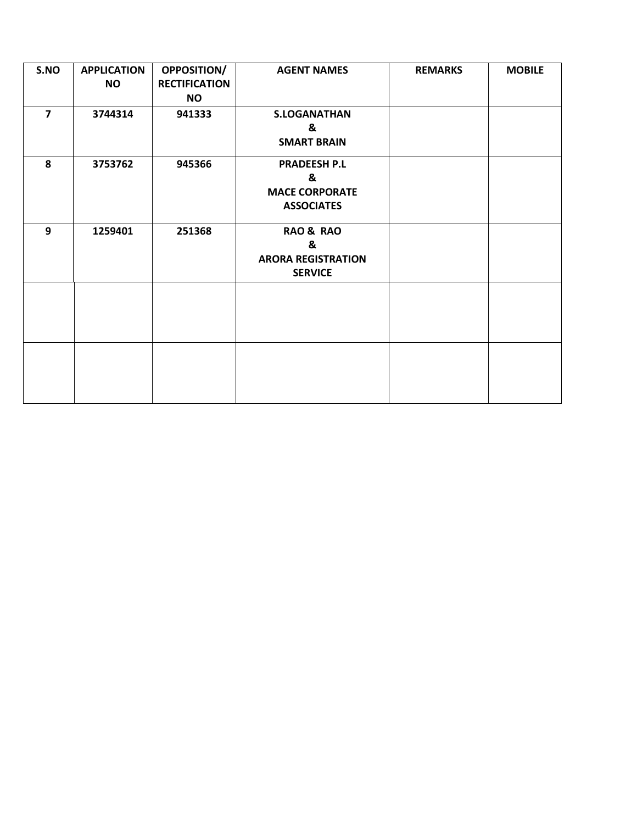| S.NO           | <b>APPLICATION</b><br><b>NO</b> | <b>OPPOSITION/</b><br><b>RECTIFICATION</b><br><b>NO</b> | <b>AGENT NAMES</b>                                                       | <b>REMARKS</b> | <b>MOBILE</b> |
|----------------|---------------------------------|---------------------------------------------------------|--------------------------------------------------------------------------|----------------|---------------|
| $\overline{7}$ | 3744314                         | 941333                                                  | <b>S.LOGANATHAN</b><br>&                                                 |                |               |
|                |                                 |                                                         | <b>SMART BRAIN</b>                                                       |                |               |
| 8              | 3753762                         | 945366                                                  | <b>PRADEESH P.L</b><br>&<br><b>MACE CORPORATE</b><br><b>ASSOCIATES</b>   |                |               |
| 9              | 1259401                         | 251368                                                  | <b>RAO &amp; RAO</b><br>&<br><b>ARORA REGISTRATION</b><br><b>SERVICE</b> |                |               |
|                |                                 |                                                         |                                                                          |                |               |
|                |                                 |                                                         |                                                                          |                |               |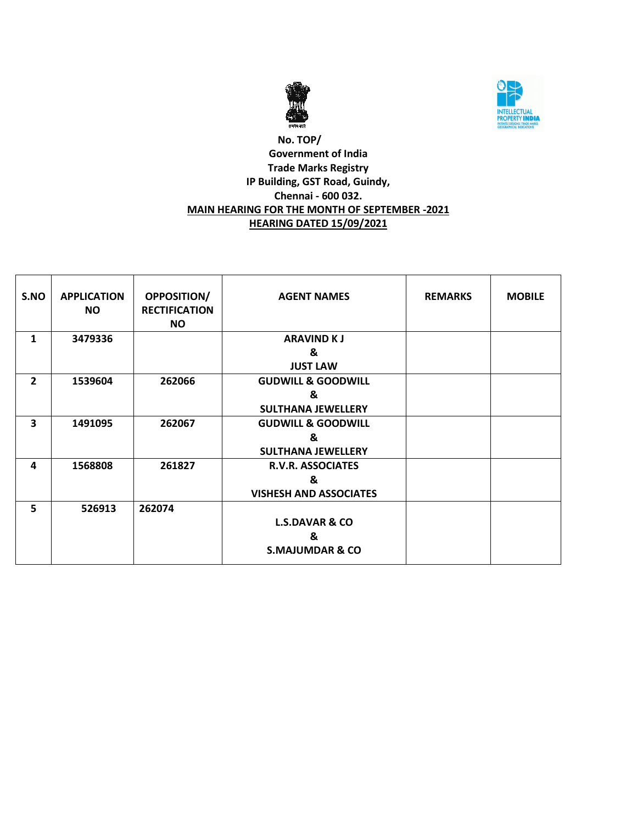



# **No. TOP/ Government of India Trade Marks Registry IP Building, GST Road, Guindy, Chennai - 600 032. MAIN HEARING FOR THE MONTH OF SEPTEMBER -2021 HEARING DATED 15/09/2021**

| S.NO           | <b>APPLICATION</b><br><b>NO</b> | <b>OPPOSITION/</b><br><b>RECTIFICATION</b><br><b>NO</b> | <b>AGENT NAMES</b>                                              | <b>REMARKS</b> | <b>MOBILE</b> |
|----------------|---------------------------------|---------------------------------------------------------|-----------------------------------------------------------------|----------------|---------------|
| $\mathbf{1}$   | 3479336                         |                                                         | <b>ARAVIND KJ</b><br>&<br><b>JUST LAW</b>                       |                |               |
| $\overline{2}$ | 1539604                         | 262066                                                  | <b>GUDWILL &amp; GOODWILL</b><br>&<br><b>SULTHANA JEWELLERY</b> |                |               |
| 3              | 1491095                         | 262067                                                  | <b>GUDWILL &amp; GOODWILL</b><br>&<br><b>SULTHANA JEWELLERY</b> |                |               |
| 4              | 1568808                         | 261827                                                  | <b>R.V.R. ASSOCIATES</b><br>&<br><b>VISHESH AND ASSOCIATES</b>  |                |               |
| 5              | 526913                          | 262074                                                  | <b>L.S.DAVAR &amp; CO</b><br>&<br><b>S.MAJUMDAR &amp; CO</b>    |                |               |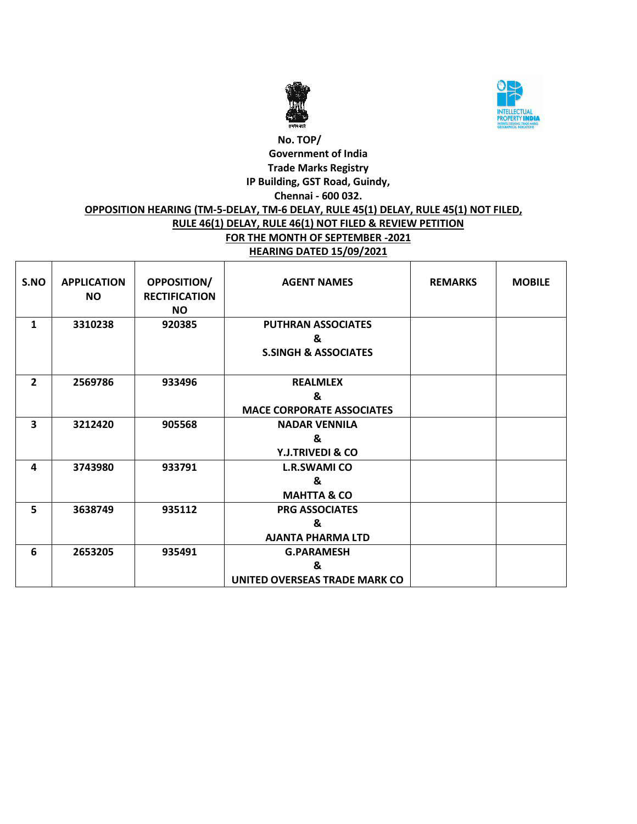



# **No. TOP/ Government of India Trade Marks Registry IP Building, GST Road, Guindy, Chennai - 600 032. OPPOSITION HEARING (TM-5-DELAY, TM-6 DELAY, RULE 45(1) DELAY, RULE 45(1) NOT FILED, RULE 46(1) DELAY, RULE 46(1) NOT FILED & REVIEW PETITION FOR THE MONTH OF SEPTEMBER -2021 HEARING DATED 15/09/2021**

| S.NO           | <b>APPLICATION</b><br><b>NO</b> | <b>OPPOSITION/</b><br><b>RECTIFICATION</b><br><b>NO</b> | <b>AGENT NAMES</b>                                                | <b>REMARKS</b> | <b>MOBILE</b> |
|----------------|---------------------------------|---------------------------------------------------------|-------------------------------------------------------------------|----------------|---------------|
| $\mathbf{1}$   | 3310238                         | 920385                                                  | <b>PUTHRAN ASSOCIATES</b><br>&<br><b>S.SINGH &amp; ASSOCIATES</b> |                |               |
| $\overline{2}$ | 2569786                         | 933496                                                  | <b>REALMLEX</b><br>&<br><b>MACE CORPORATE ASSOCIATES</b>          |                |               |
| 3              | 3212420                         | 905568                                                  | <b>NADAR VENNILA</b><br>&<br><b>Y.J.TRIVEDI &amp; CO</b>          |                |               |
| 4              | 3743980                         | 933791                                                  | <b>L.R.SWAMI CO</b><br>&<br><b>MAHTTA &amp; CO</b>                |                |               |
| 5              | 3638749                         | 935112                                                  | <b>PRG ASSOCIATES</b><br>&<br><b>AJANTA PHARMA LTD</b>            |                |               |
| 6              | 2653205                         | 935491                                                  | <b>G.PARAMESH</b><br>&<br>UNITED OVERSEAS TRADE MARK CO           |                |               |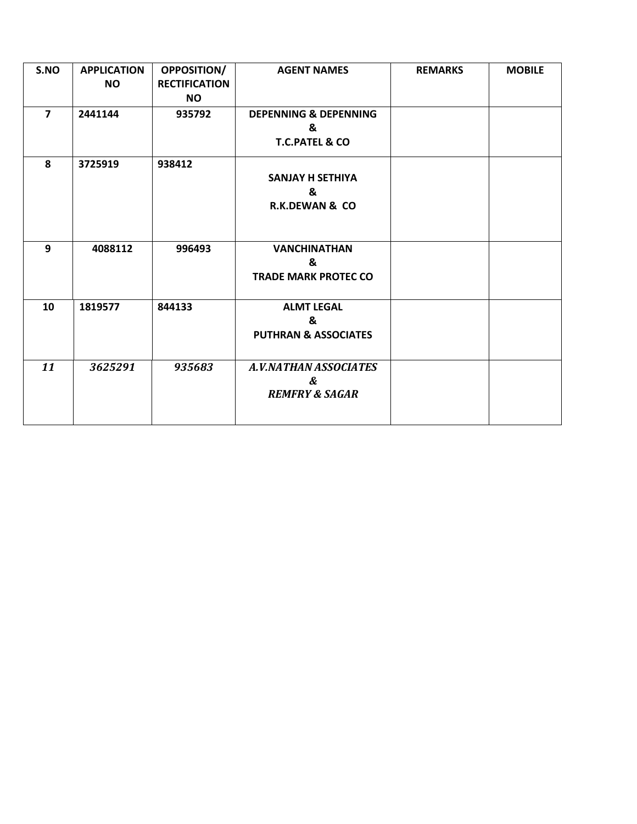| S.NO                    | <b>APPLICATION</b><br><b>NO</b> | OPPOSITION/<br><b>RECTIFICATION</b><br><b>NO</b> | <b>AGENT NAMES</b>                                                 | <b>REMARKS</b> | <b>MOBILE</b> |
|-------------------------|---------------------------------|--------------------------------------------------|--------------------------------------------------------------------|----------------|---------------|
| $\overline{\mathbf{z}}$ | 2441144                         | 935792                                           | <b>DEPENNING &amp; DEPENNING</b><br>&<br><b>T.C.PATEL &amp; CO</b> |                |               |
| 8                       | 3725919                         | 938412                                           | <b>SANJAY H SETHIYA</b><br>&<br><b>R.K.DEWAN &amp; CO</b>          |                |               |
| 9                       | 4088112                         | 996493                                           | <b>VANCHINATHAN</b><br>&<br><b>TRADE MARK PROTEC CO</b>            |                |               |
| 10                      | 1819577                         | 844133                                           | <b>ALMT LEGAL</b><br>&<br><b>PUTHRAN &amp; ASSOCIATES</b>          |                |               |
| 11                      | 3625291                         | 935683                                           | A.V.NATHAN ASSOCIATES<br>&<br><b>REMFRY &amp; SAGAR</b>            |                |               |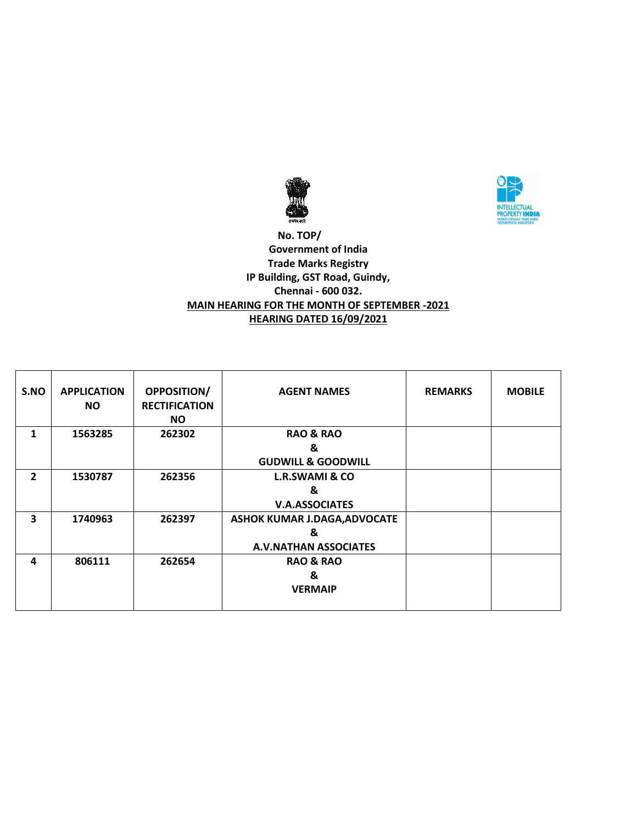



 **No. TOP/ Government of India Trade Marks Registry IP Building, GST Road, Guindy, Chennai - 600 032. MAIN HEARING FOR THE MONTH OF SEPTEMBER -2021 HEARING DATED 16/09/2021**

| S.NO           | <b>APPLICATION</b><br>NO. | <b>OPPOSITION/</b><br><b>RECTIFICATION</b><br>NO. | <b>AGENT NAMES</b>            | <b>REMARKS</b> | <b>MOBILE</b> |
|----------------|---------------------------|---------------------------------------------------|-------------------------------|----------------|---------------|
| 1              | 1563285                   | 262302                                            | <b>RAO &amp; RAO</b>          |                |               |
|                |                           |                                                   | &                             |                |               |
|                |                           |                                                   | <b>GUDWILL &amp; GOODWILL</b> |                |               |
| $\overline{2}$ | 1530787                   | 262356                                            | <b>L.R.SWAMI &amp; CO</b>     |                |               |
|                |                           |                                                   | &                             |                |               |
|                |                           |                                                   | <b>V.A.ASSOCIATES</b>         |                |               |
| 3              | 1740963                   | 262397                                            | ASHOK KUMAR J.DAGA, ADVOCATE  |                |               |
|                |                           |                                                   | &                             |                |               |
|                |                           |                                                   | <b>A.V.NATHAN ASSOCIATES</b>  |                |               |
| 4              | 806111                    | 262654                                            | <b>RAO &amp; RAO</b>          |                |               |
|                |                           |                                                   | &                             |                |               |
|                |                           |                                                   | <b>VERMAIP</b>                |                |               |
|                |                           |                                                   |                               |                |               |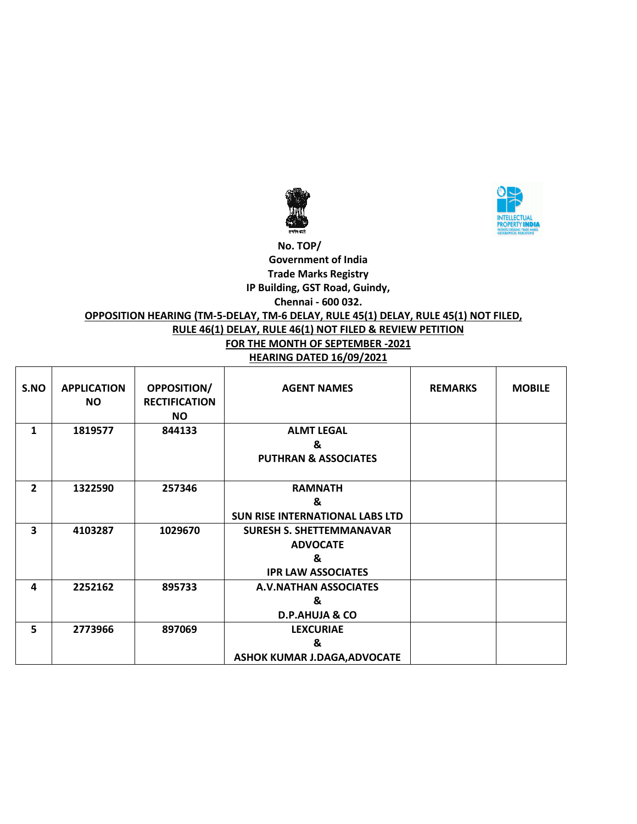



#### **No. TOP/ Government of India Trade Marks Registry IP Building, GST Road, Guindy, Chennai - 600 032.**

# **OPPOSITION HEARING (TM-5-DELAY, TM-6 DELAY, RULE 45(1) DELAY, RULE 45(1) NOT FILED,**

# **RULE 46(1) DELAY, RULE 46(1) NOT FILED & REVIEW PETITION**

# **FOR THE MONTH OF SEPTEMBER -2021**

| S.NO           | <b>APPLICATION</b><br><b>NO</b> | <b>OPPOSITION/</b><br><b>RECTIFICATION</b><br>NO. | <b>AGENT NAMES</b>                                                                   | <b>REMARKS</b> | <b>MOBILE</b> |
|----------------|---------------------------------|---------------------------------------------------|--------------------------------------------------------------------------------------|----------------|---------------|
| 1              | 1819577                         | 844133                                            | <b>ALMT LEGAL</b><br>&<br><b>PUTHRAN &amp; ASSOCIATES</b>                            |                |               |
| $\overline{2}$ | 1322590                         | 257346                                            | <b>RAMNATH</b><br>&<br><b>SUN RISE INTERNATIONAL LABS LTD</b>                        |                |               |
| 3              | 4103287                         | 1029670                                           | <b>SURESH S. SHETTEMMANAVAR</b><br><b>ADVOCATE</b><br>&<br><b>IPR LAW ASSOCIATES</b> |                |               |
| 4              | 2252162                         | 895733                                            | <b>A.V.NATHAN ASSOCIATES</b><br>&<br><b>D.P.AHUJA &amp; CO</b>                       |                |               |
| 5              | 2773966                         | 897069                                            | <b>LEXCURIAE</b><br>&<br><b>ASHOK KUMAR J.DAGA, ADVOCATE</b>                         |                |               |

#### **HEARING DATED 16/09/2021**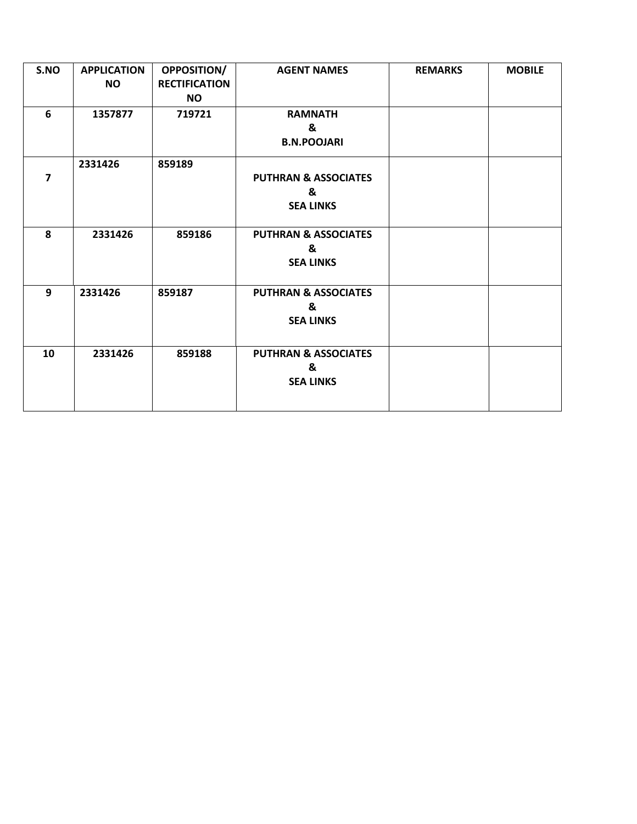| S.NO           | <b>APPLICATION</b> | OPPOSITION/          | <b>AGENT NAMES</b>              | <b>REMARKS</b> | <b>MOBILE</b> |
|----------------|--------------------|----------------------|---------------------------------|----------------|---------------|
|                | <b>NO</b>          | <b>RECTIFICATION</b> |                                 |                |               |
|                |                    | <b>NO</b>            |                                 |                |               |
| 6              | 1357877            | 719721               | <b>RAMNATH</b>                  |                |               |
|                |                    |                      | &                               |                |               |
|                |                    |                      | <b>B.N.POOJARI</b>              |                |               |
|                | 2331426            | 859189               |                                 |                |               |
| $\overline{7}$ |                    |                      | <b>PUTHRAN &amp; ASSOCIATES</b> |                |               |
|                |                    |                      | &                               |                |               |
|                |                    |                      | <b>SEA LINKS</b>                |                |               |
|                |                    |                      |                                 |                |               |
| 8              | 2331426            | 859186               | <b>PUTHRAN &amp; ASSOCIATES</b> |                |               |
|                |                    |                      | &                               |                |               |
|                |                    |                      | <b>SEA LINKS</b>                |                |               |
|                |                    |                      |                                 |                |               |
| 9              | 2331426            | 859187               | <b>PUTHRAN &amp; ASSOCIATES</b> |                |               |
|                |                    |                      | &                               |                |               |
|                |                    |                      | <b>SEA LINKS</b>                |                |               |
|                |                    |                      |                                 |                |               |
| 10             | 2331426            | 859188               | <b>PUTHRAN &amp; ASSOCIATES</b> |                |               |
|                |                    |                      | &                               |                |               |
|                |                    |                      | <b>SEA LINKS</b>                |                |               |
|                |                    |                      |                                 |                |               |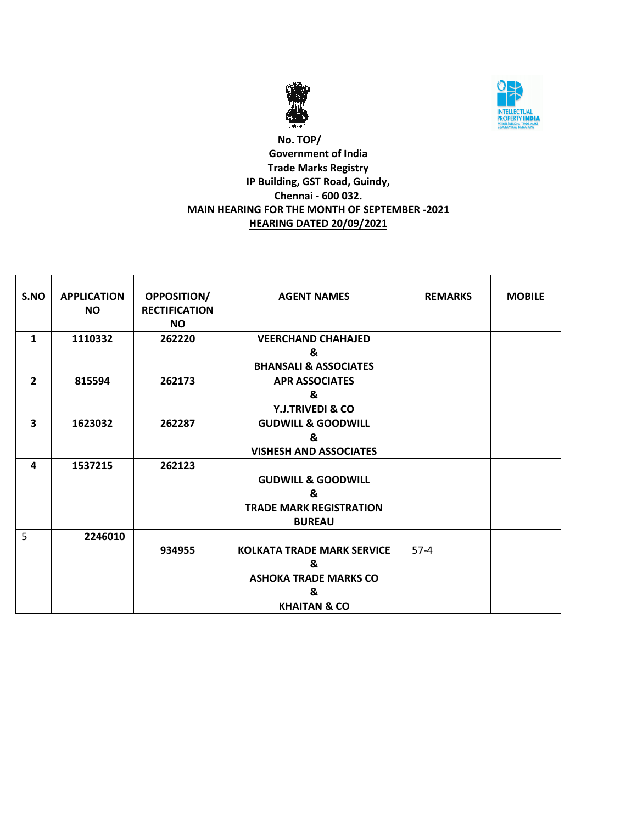



# **No. TOP/ Government of India Trade Marks Registry IP Building, GST Road, Guindy, Chennai - 600 032. MAIN HEARING FOR THE MONTH OF SEPTEMBER -2021 HEARING DATED 20/09/2021**

| S.NO           | <b>APPLICATION</b><br><b>NO</b> | OPPOSITION/<br><b>RECTIFICATION</b><br><b>NO</b> | <b>AGENT NAMES</b>                              | <b>REMARKS</b> | <b>MOBILE</b> |
|----------------|---------------------------------|--------------------------------------------------|-------------------------------------------------|----------------|---------------|
| $\mathbf{1}$   | 1110332                         | 262220                                           | <b>VEERCHAND CHAHAJED</b><br>&                  |                |               |
|                |                                 |                                                  | <b>BHANSALI &amp; ASSOCIATES</b>                |                |               |
| $\overline{2}$ | 815594                          | 262173                                           | <b>APR ASSOCIATES</b>                           |                |               |
|                |                                 |                                                  | &<br>Y.J.TRIVEDI & CO                           |                |               |
| 3              | 1623032                         | 262287                                           | <b>GUDWILL &amp; GOODWILL</b>                   |                |               |
|                |                                 |                                                  | &<br><b>VISHESH AND ASSOCIATES</b>              |                |               |
| 4              | 1537215                         | 262123                                           | <b>GUDWILL &amp; GOODWILL</b><br>&              |                |               |
|                |                                 |                                                  | <b>TRADE MARK REGISTRATION</b><br><b>BUREAU</b> |                |               |
| 5              | 2246010                         |                                                  |                                                 |                |               |
|                |                                 | 934955                                           | <b>KOLKATA TRADE MARK SERVICE</b>               | $57-4$         |               |
|                |                                 |                                                  | &<br><b>ASHOKA TRADE MARKS CO</b>               |                |               |
|                |                                 |                                                  | &                                               |                |               |
|                |                                 |                                                  | <b>KHAITAN &amp; CO</b>                         |                |               |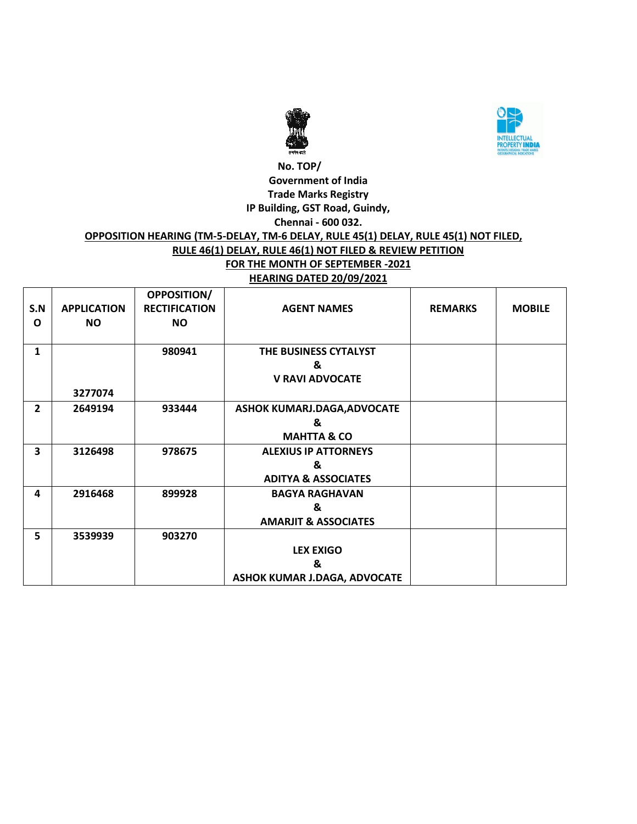



## **No. TOP/ Government of India Trade Marks Registry IP Building, GST Road, Guindy, Chennai - 600 032. OPPOSITION HEARING (TM-5-DELAY, TM-6 DELAY, RULE 45(1) DELAY, RULE 45(1) NOT FILED, RULE 46(1) DELAY, RULE 46(1) NOT FILED & REVIEW PETITION FOR THE MONTH OF SEPTEMBER -2021 HEARING DATED 20/09/2021**

| S.N<br>O       | <b>APPLICATION</b><br><b>NO</b> | <b>OPPOSITION/</b><br><b>RECTIFICATION</b><br><b>NO</b> | <b>AGENT NAMES</b>                                                 | <b>REMARKS</b> | <b>MOBILE</b> |
|----------------|---------------------------------|---------------------------------------------------------|--------------------------------------------------------------------|----------------|---------------|
| $\mathbf{1}$   | 3277074                         | 980941                                                  | THE BUSINESS CYTALYST<br>&<br><b>V RAVI ADVOCATE</b>               |                |               |
| $\overline{2}$ | 2649194                         | 933444                                                  | ASHOK KUMARJ.DAGA, ADVOCATE<br>&<br><b>MAHTTA &amp; CO</b>         |                |               |
| 3              | 3126498                         | 978675                                                  | <b>ALEXIUS IP ATTORNEYS</b><br>&<br><b>ADITYA &amp; ASSOCIATES</b> |                |               |
| 4              | 2916468                         | 899928                                                  | <b>BAGYA RAGHAVAN</b><br>&<br><b>AMARJIT &amp; ASSOCIATES</b>      |                |               |
| 5              | 3539939                         | 903270                                                  | <b>LEX EXIGO</b><br>&<br>ASHOK KUMAR J.DAGA, ADVOCATE              |                |               |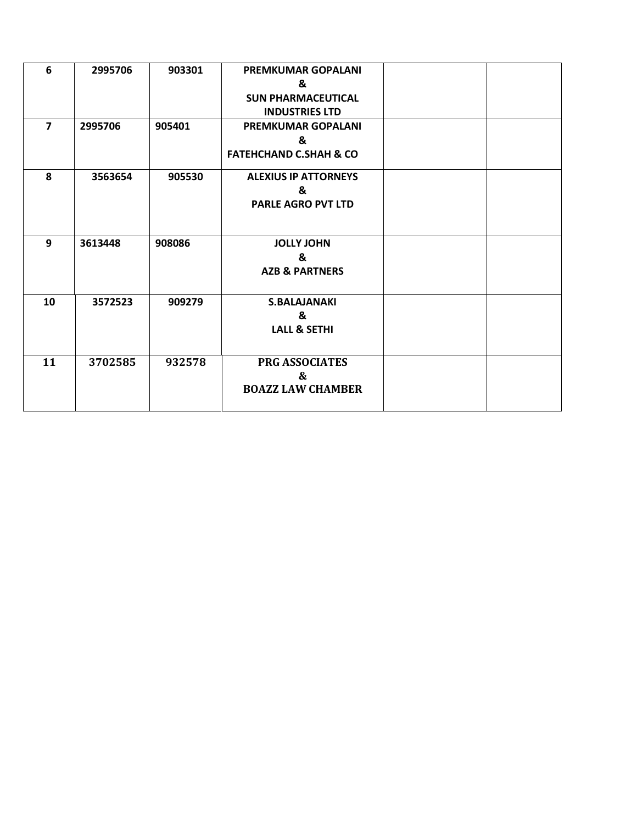| 6              | 2995706 | 903301 | <b>PREMKUMAR GOPALANI</b>         |  |
|----------------|---------|--------|-----------------------------------|--|
|                |         |        | &                                 |  |
|                |         |        | <b>SUN PHARMACEUTICAL</b>         |  |
|                |         |        | <b>INDUSTRIES LTD</b>             |  |
| $\overline{7}$ | 2995706 | 905401 | <b>PREMKUMAR GOPALANI</b>         |  |
|                |         |        | &                                 |  |
|                |         |        | <b>FATEHCHAND C.SHAH &amp; CO</b> |  |
| 8              | 3563654 | 905530 | <b>ALEXIUS IP ATTORNEYS</b>       |  |
|                |         |        | &                                 |  |
|                |         |        | <b>PARLE AGRO PVT LTD</b>         |  |
|                |         |        |                                   |  |
| 9              | 3613448 | 908086 | <b>JOLLY JOHN</b>                 |  |
|                |         |        | &                                 |  |
|                |         |        | <b>AZB &amp; PARTNERS</b>         |  |
|                |         |        |                                   |  |
| 10             | 3572523 | 909279 | <b>S.BALAJANAKI</b>               |  |
|                |         |        | &                                 |  |
|                |         |        | <b>LALL &amp; SETHI</b>           |  |
|                |         |        |                                   |  |
| 11             | 3702585 | 932578 | <b>PRG ASSOCIATES</b>             |  |
|                |         |        | &                                 |  |
|                |         |        | <b>BOAZZ LAW CHAMBER</b>          |  |
|                |         |        |                                   |  |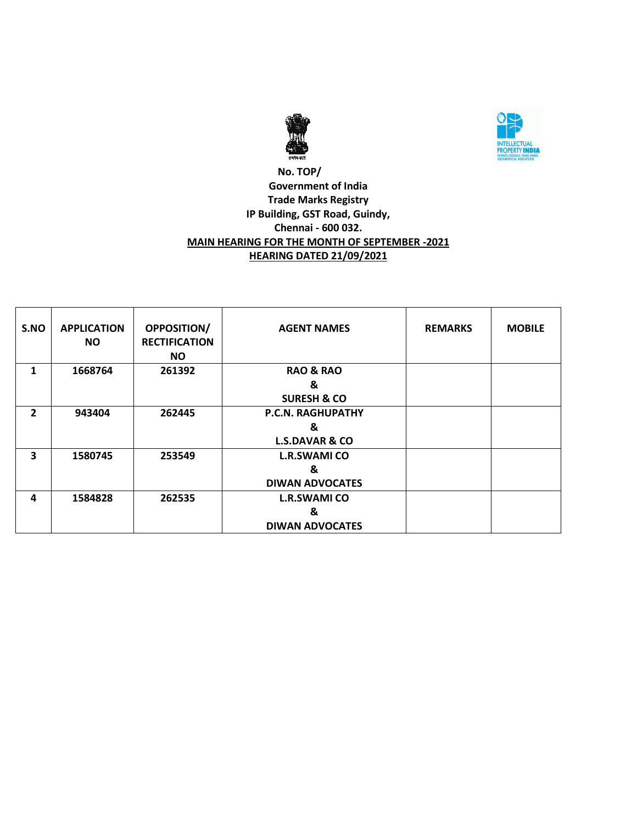



# **No. TOP/ Government of India Trade Marks Registry IP Building, GST Road, Guindy, Chennai - 600 032. MAIN HEARING FOR THE MONTH OF SEPTEMBER -2021 HEARING DATED 21/09/2021**

| S.NO         | <b>APPLICATION</b> | <b>OPPOSITION/</b>                | <b>AGENT NAMES</b>        | <b>REMARKS</b> | <b>MOBILE</b> |
|--------------|--------------------|-----------------------------------|---------------------------|----------------|---------------|
|              | <b>NO</b>          | <b>RECTIFICATION</b><br><b>NO</b> |                           |                |               |
| 1            | 1668764            | 261392                            | <b>RAO &amp; RAO</b>      |                |               |
|              |                    |                                   | &                         |                |               |
|              |                    |                                   | <b>SURESH &amp; CO</b>    |                |               |
| $\mathbf{2}$ | 943404             | 262445                            | <b>P.C.N. RAGHUPATHY</b>  |                |               |
|              |                    |                                   | &                         |                |               |
|              |                    |                                   | <b>L.S.DAVAR &amp; CO</b> |                |               |
| 3            | 1580745            | 253549                            | <b>L.R.SWAMI CO</b>       |                |               |
|              |                    |                                   | &                         |                |               |
|              |                    |                                   | <b>DIWAN ADVOCATES</b>    |                |               |
| 4            | 1584828            | 262535                            | <b>L.R.SWAMI CO</b>       |                |               |
|              |                    |                                   | &                         |                |               |
|              |                    |                                   | <b>DIWAN ADVOCATES</b>    |                |               |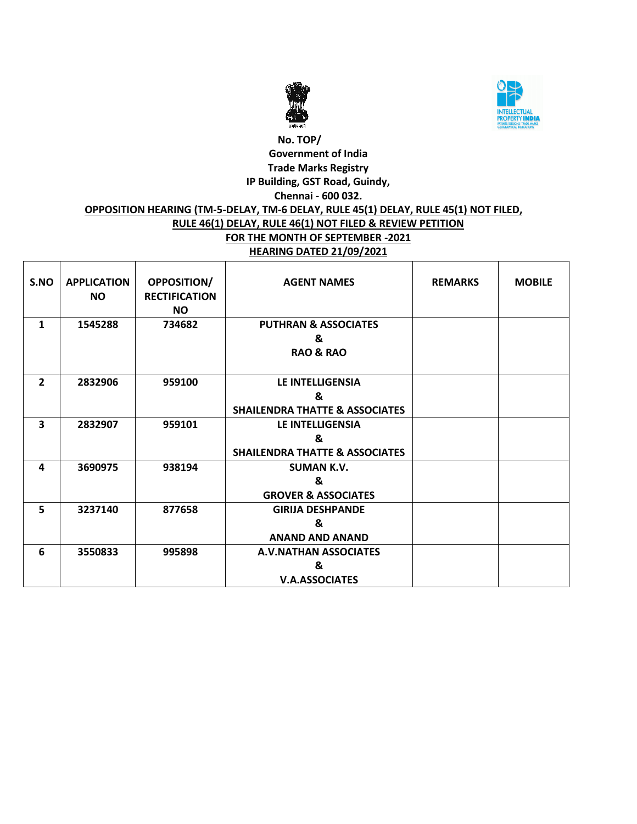



# **No. TOP/ Government of India Trade Marks Registry IP Building, GST Road, Guindy, Chennai - 600 032. OPPOSITION HEARING (TM-5-DELAY, TM-6 DELAY, RULE 45(1) DELAY, RULE 45(1) NOT FILED, RULE 46(1) DELAY, RULE 46(1) NOT FILED & REVIEW PETITION FOR THE MONTH OF SEPTEMBER -2021 HEARING DATED 21/09/2021**

| S.NO                    | <b>APPLICATION</b><br><b>NO</b> | <b>OPPOSITION/</b><br><b>RECTIFICATION</b><br><b>NO</b> | <b>AGENT NAMES</b>                                                 | <b>REMARKS</b> | <b>MOBILE</b> |
|-------------------------|---------------------------------|---------------------------------------------------------|--------------------------------------------------------------------|----------------|---------------|
| 1                       | 1545288                         | 734682                                                  | <b>PUTHRAN &amp; ASSOCIATES</b><br>&<br><b>RAO &amp; RAO</b>       |                |               |
| $\overline{2}$          | 2832906                         | 959100                                                  | LE INTELLIGENSIA<br>&<br><b>SHAILENDRA THATTE &amp; ASSOCIATES</b> |                |               |
| $\overline{\mathbf{3}}$ | 2832907                         | 959101                                                  | LE INTELLIGENSIA<br>&<br><b>SHAILENDRA THATTE &amp; ASSOCIATES</b> |                |               |
| 4                       | 3690975                         | 938194                                                  | <b>SUMAN K.V.</b><br>&<br><b>GROVER &amp; ASSOCIATES</b>           |                |               |
| 5                       | 3237140                         | 877658                                                  | <b>GIRIJA DESHPANDE</b><br>&<br><b>ANAND AND ANAND</b>             |                |               |
| 6                       | 3550833                         | 995898                                                  | A.V.NATHAN ASSOCIATES<br>&<br><b>V.A.ASSOCIATES</b>                |                |               |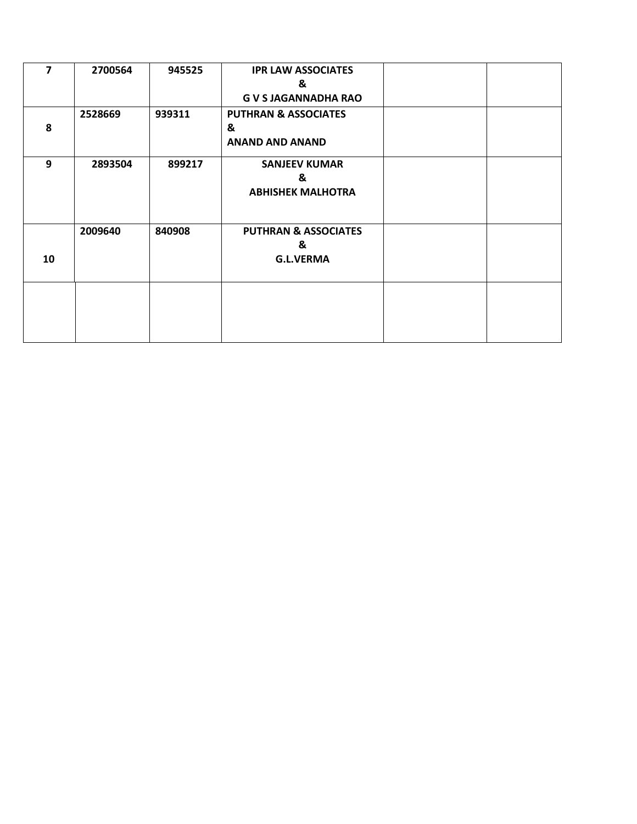| $\overline{7}$ | 2700564 | 945525 | <b>IPR LAW ASSOCIATES</b>       |  |
|----------------|---------|--------|---------------------------------|--|
|                |         |        | &                               |  |
|                |         |        | <b>G V S JAGANNADHA RAO</b>     |  |
|                | 2528669 | 939311 | <b>PUTHRAN &amp; ASSOCIATES</b> |  |
| 8              |         |        | &                               |  |
|                |         |        | <b>ANAND AND ANAND</b>          |  |
| 9              | 2893504 | 899217 | <b>SANJEEV KUMAR</b>            |  |
|                |         |        | &                               |  |
|                |         |        | <b>ABHISHEK MALHOTRA</b>        |  |
|                |         |        |                                 |  |
|                | 2009640 | 840908 | <b>PUTHRAN &amp; ASSOCIATES</b> |  |
|                |         |        | &                               |  |
| 10             |         |        | <b>G.L.VERMA</b>                |  |
|                |         |        |                                 |  |
|                |         |        |                                 |  |
|                |         |        |                                 |  |
|                |         |        |                                 |  |
|                |         |        |                                 |  |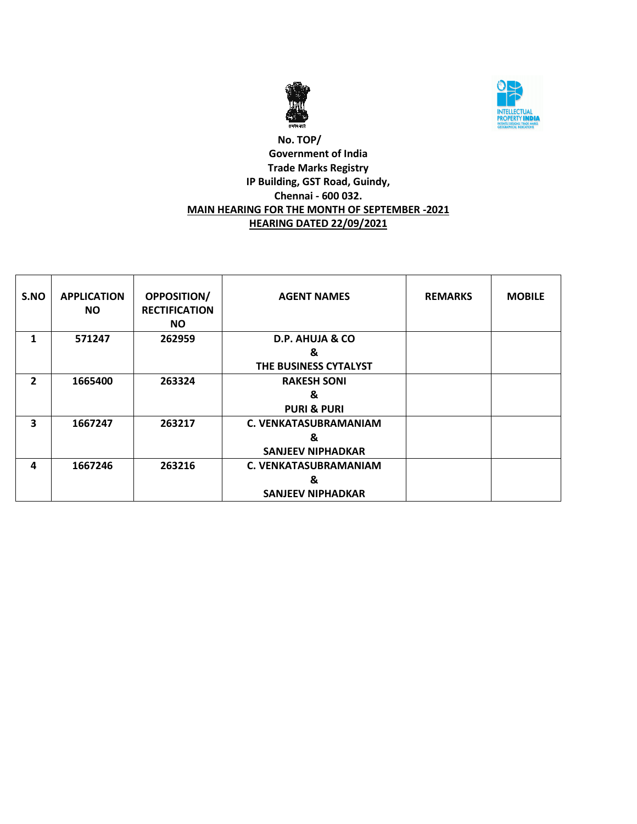



# **No. TOP/ Government of India Trade Marks Registry IP Building, GST Road, Guindy, Chennai - 600 032. MAIN HEARING FOR THE MONTH OF SEPTEMBER -2021 HEARING DATED 22/09/2021**

| S.NO           | <b>APPLICATION</b><br><b>NO</b> | <b>OPPOSITION/</b><br><b>RECTIFICATION</b><br><b>NO</b> | <b>AGENT NAMES</b>           | <b>REMARKS</b> | <b>MOBILE</b> |
|----------------|---------------------------------|---------------------------------------------------------|------------------------------|----------------|---------------|
| 1              | 571247                          | 262959                                                  | D.P. AHUJA & CO              |                |               |
|                |                                 |                                                         | &<br>THE BUSINESS CYTALYST   |                |               |
| $\overline{2}$ | 1665400                         | 263324                                                  | <b>RAKESH SONI</b>           |                |               |
|                |                                 |                                                         | &                            |                |               |
|                |                                 |                                                         | <b>PURI &amp; PURI</b>       |                |               |
| 3              | 1667247                         | 263217                                                  | <b>C. VENKATASUBRAMANIAM</b> |                |               |
|                |                                 |                                                         | &                            |                |               |
|                |                                 |                                                         | <b>SANJEEV NIPHADKAR</b>     |                |               |
| 4              | 1667246                         | 263216                                                  | <b>C. VENKATASUBRAMANIAM</b> |                |               |
|                |                                 |                                                         | &                            |                |               |
|                |                                 |                                                         | <b>SANJEEV NIPHADKAR</b>     |                |               |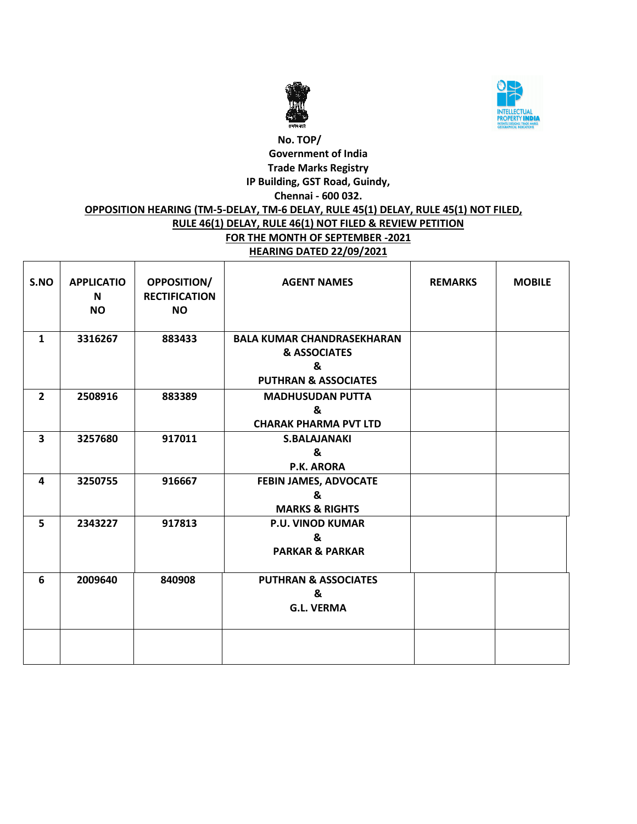



# **No. TOP/ Government of India Trade Marks Registry IP Building, GST Road, Guindy, Chennai - 600 032. OPPOSITION HEARING (TM-5-DELAY, TM-6 DELAY, RULE 45(1) DELAY, RULE 45(1) NOT FILED, RULE 46(1) DELAY, RULE 46(1) NOT FILED & REVIEW PETITION FOR THE MONTH OF SEPTEMBER -2021 HEARING DATED 22/09/2021**

| S.NO           | <b>APPLICATIO</b><br>N<br><b>NO</b> | <b>OPPOSITION/</b><br><b>RECTIFICATION</b><br><b>NO</b> | <b>AGENT NAMES</b>                                                                                   | <b>REMARKS</b> | <b>MOBILE</b> |
|----------------|-------------------------------------|---------------------------------------------------------|------------------------------------------------------------------------------------------------------|----------------|---------------|
| $\mathbf{1}$   | 3316267                             | 883433                                                  | <b>BALA KUMAR CHANDRASEKHARAN</b><br><b>&amp; ASSOCIATES</b><br>&<br><b>PUTHRAN &amp; ASSOCIATES</b> |                |               |
| $\overline{2}$ | 2508916                             | 883389                                                  | <b>MADHUSUDAN PUTTA</b><br>&<br><b>CHARAK PHARMA PVT LTD</b>                                         |                |               |
| 3              | 3257680                             | 917011                                                  | <b>S.BALAJANAKI</b><br>&<br>P.K. ARORA                                                               |                |               |
| 4              | 3250755                             | 916667                                                  | FEBIN JAMES, ADVOCATE<br>&<br><b>MARKS &amp; RIGHTS</b>                                              |                |               |
| 5              | 2343227                             | 917813                                                  | <b>P.U. VINOD KUMAR</b><br>&<br><b>PARKAR &amp; PARKAR</b>                                           |                |               |
| 6              | 2009640                             | 840908                                                  | <b>PUTHRAN &amp; ASSOCIATES</b><br>&<br><b>G.L. VERMA</b>                                            |                |               |
|                |                                     |                                                         |                                                                                                      |                |               |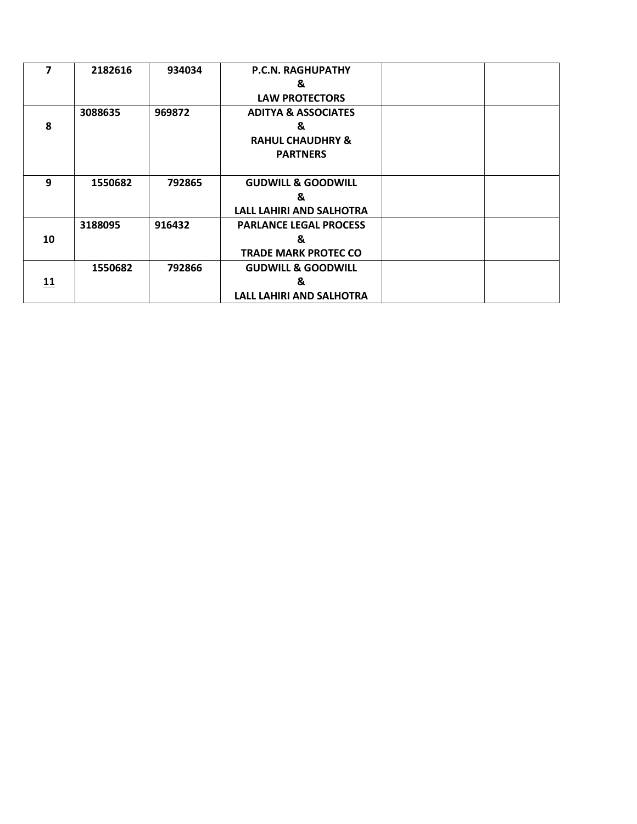| 7  | 2182616 | 934034 | <b>P.C.N. RAGHUPATHY</b>        |  |
|----|---------|--------|---------------------------------|--|
|    |         |        | &                               |  |
|    |         |        | <b>LAW PROTECTORS</b>           |  |
|    | 3088635 | 969872 | <b>ADITYA &amp; ASSOCIATES</b>  |  |
| 8  |         |        | &                               |  |
|    |         |        | <b>RAHUL CHAUDHRY &amp;</b>     |  |
|    |         |        | <b>PARTNERS</b>                 |  |
|    |         |        |                                 |  |
| 9  | 1550682 | 792865 | <b>GUDWILL &amp; GOODWILL</b>   |  |
|    |         |        | &                               |  |
|    |         |        | <b>LALL LAHIRI AND SALHOTRA</b> |  |
|    | 3188095 | 916432 | <b>PARLANCE LEGAL PROCESS</b>   |  |
| 10 |         |        | &                               |  |
|    |         |        | <b>TRADE MARK PROTEC CO</b>     |  |
|    | 1550682 | 792866 | <b>GUDWILL &amp; GOODWILL</b>   |  |
| 11 |         |        | &                               |  |
|    |         |        | <b>LALL LAHIRI AND SALHOTRA</b> |  |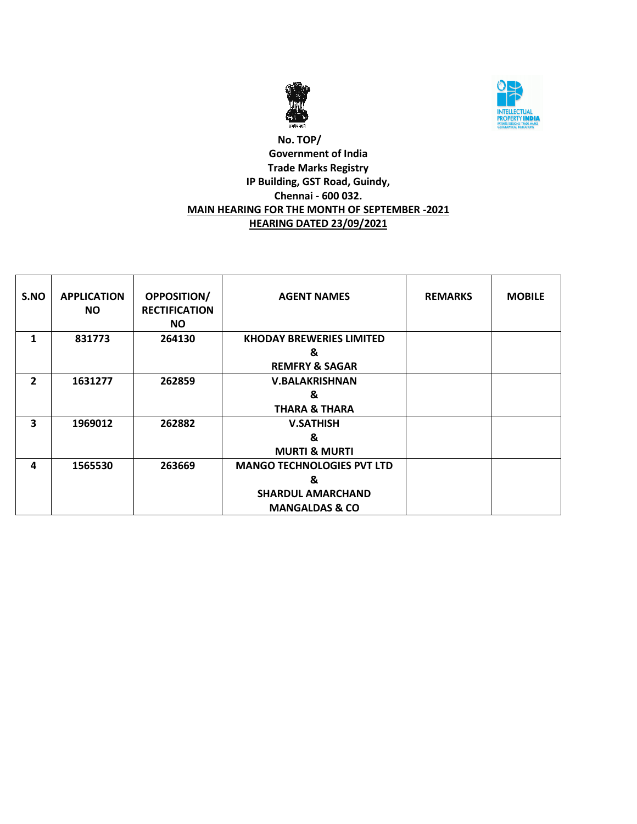



# **No. TOP/ Government of India Trade Marks Registry IP Building, GST Road, Guindy, Chennai - 600 032. MAIN HEARING FOR THE MONTH OF SEPTEMBER -2021 HEARING DATED 23/09/2021**

| S.NO                    | <b>APPLICATION</b><br><b>NO</b> | <b>OPPOSITION/</b><br><b>RECTIFICATION</b><br><b>NO</b> | <b>AGENT NAMES</b>                | <b>REMARKS</b> | <b>MOBILE</b> |
|-------------------------|---------------------------------|---------------------------------------------------------|-----------------------------------|----------------|---------------|
| 1                       | 831773                          | 264130                                                  | <b>KHODAY BREWERIES LIMITED</b>   |                |               |
|                         |                                 |                                                         | &                                 |                |               |
|                         |                                 |                                                         | <b>REMFRY &amp; SAGAR</b>         |                |               |
| $\overline{2}$          | 1631277                         | 262859                                                  | <b>V.BALAKRISHNAN</b>             |                |               |
|                         |                                 |                                                         | &                                 |                |               |
|                         |                                 |                                                         | <b>THARA &amp; THARA</b>          |                |               |
| $\overline{\mathbf{3}}$ | 1969012                         | 262882                                                  | <b>V.SATHISH</b>                  |                |               |
|                         |                                 |                                                         | &                                 |                |               |
|                         |                                 |                                                         | <b>MURTI &amp; MURTI</b>          |                |               |
| 4                       | 1565530                         | 263669                                                  | <b>MANGO TECHNOLOGIES PVT LTD</b> |                |               |
|                         |                                 |                                                         | &                                 |                |               |
|                         |                                 |                                                         | <b>SHARDUL AMARCHAND</b>          |                |               |
|                         |                                 |                                                         | <b>MANGALDAS &amp; CO</b>         |                |               |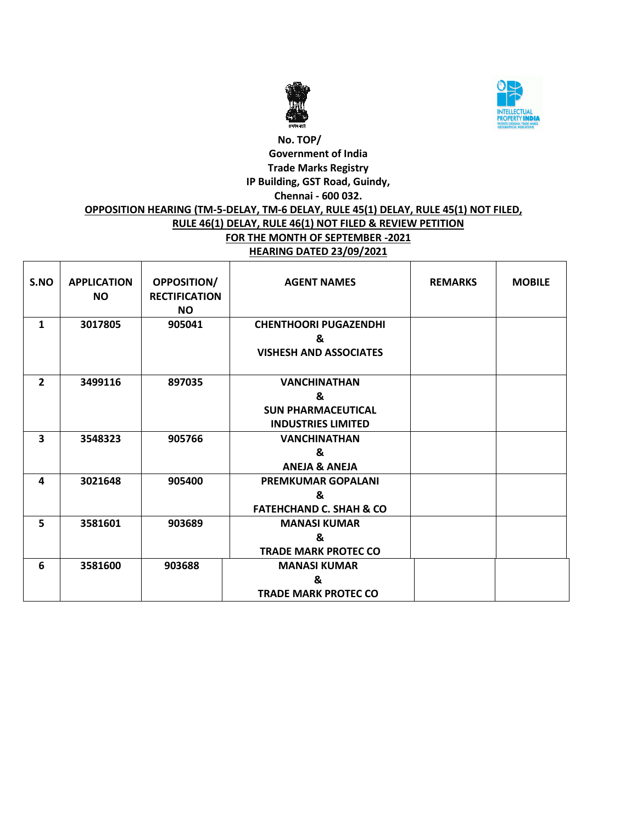



# **No. TOP/ Government of India Trade Marks Registry IP Building, GST Road, Guindy, Chennai - 600 032. OPPOSITION HEARING (TM-5-DELAY, TM-6 DELAY, RULE 45(1) DELAY, RULE 45(1) NOT FILED, RULE 46(1) DELAY, RULE 46(1) NOT FILED & REVIEW PETITION FOR THE MONTH OF SEPTEMBER -2021 HEARING DATED 23/09/2021**

| S.NO           | <b>APPLICATION</b><br><b>NO</b> | OPPOSITION/<br><b>RECTIFICATION</b><br><b>NO</b> | <b>AGENT NAMES</b>                                                                 | <b>REMARKS</b> | <b>MOBILE</b> |
|----------------|---------------------------------|--------------------------------------------------|------------------------------------------------------------------------------------|----------------|---------------|
| 1              | 3017805                         | 905041                                           | <b>CHENTHOORI PUGAZENDHI</b><br>&<br><b>VISHESH AND ASSOCIATES</b>                 |                |               |
| $\overline{2}$ | 3499116                         | 897035                                           | <b>VANCHINATHAN</b><br>&<br><b>SUN PHARMACEUTICAL</b><br><b>INDUSTRIES LIMITED</b> |                |               |
| 3              | 3548323                         | 905766                                           | <b>VANCHINATHAN</b><br>&<br><b>ANEJA &amp; ANEJA</b>                               |                |               |
| 4              | 3021648                         | 905400                                           | <b>PREMKUMAR GOPALANI</b><br>ጼ<br><b>FATEHCHAND C. SHAH &amp; CO</b>               |                |               |
| 5              | 3581601                         | 903689                                           | <b>MANASI KUMAR</b><br>&<br><b>TRADE MARK PROTEC CO</b>                            |                |               |
| 6              | 3581600                         | 903688                                           | <b>MANASI KUMAR</b><br>&<br><b>TRADE MARK PROTEC CO</b>                            |                |               |